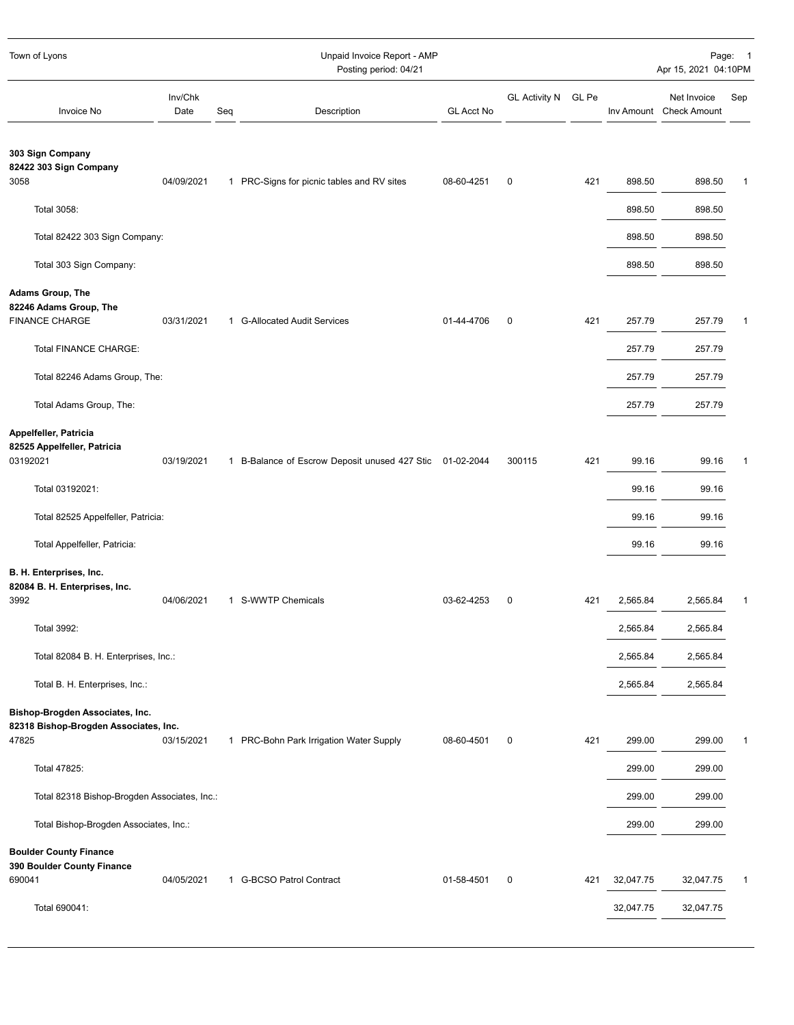| Town of Lyons                                                                                   | Unpaid Invoice Report - AMP<br>Posting period: 04/21 |                                                          |                   |                     |     |           | Page: 1<br>Apr 15, 2021 04:10PM        |              |  |
|-------------------------------------------------------------------------------------------------|------------------------------------------------------|----------------------------------------------------------|-------------------|---------------------|-----|-----------|----------------------------------------|--------------|--|
| Inv/Chk<br><b>Invoice No</b><br>Date                                                            | Seq                                                  | Description                                              | <b>GL Acct No</b> | GL Activity N GL Pe |     |           | Net Invoice<br>Inv Amount Check Amount | Sep          |  |
| 303 Sign Company<br>82422 303 Sign Company                                                      |                                                      |                                                          |                   |                     |     |           |                                        |              |  |
| 04/09/2021<br>3058                                                                              |                                                      | 1 PRC-Signs for picnic tables and RV sites               | 08-60-4251        | $\mathbf 0$         | 421 | 898.50    | 898.50                                 | 1            |  |
| Total 3058:                                                                                     |                                                      |                                                          |                   |                     |     | 898.50    | 898.50                                 |              |  |
| Total 82422 303 Sign Company:                                                                   |                                                      |                                                          |                   |                     |     | 898.50    | 898.50                                 |              |  |
| Total 303 Sign Company:                                                                         |                                                      |                                                          |                   |                     |     | 898.50    | 898.50                                 |              |  |
| <b>Adams Group, The</b><br>82246 Adams Group, The<br><b>FINANCE CHARGE</b><br>03/31/2021        |                                                      | 1 G-Allocated Audit Services                             | 01-44-4706        | 0                   | 421 | 257.79    | 257.79                                 | 1            |  |
| Total FINANCE CHARGE:                                                                           |                                                      |                                                          |                   |                     |     | 257.79    | 257.79                                 |              |  |
|                                                                                                 |                                                      |                                                          |                   |                     |     |           |                                        |              |  |
| Total 82246 Adams Group, The:                                                                   |                                                      |                                                          |                   |                     |     | 257.79    | 257.79                                 |              |  |
| Total Adams Group, The:                                                                         |                                                      |                                                          |                   |                     |     | 257.79    | 257.79                                 |              |  |
| Appelfeller, Patricia<br>82525 Appelfeller, Patricia<br>03192021<br>03/19/2021                  |                                                      | 1 B-Balance of Escrow Deposit unused 427 Stic 01-02-2044 |                   | 300115              | 421 | 99.16     | 99.16                                  | 1            |  |
|                                                                                                 |                                                      |                                                          |                   |                     |     |           |                                        |              |  |
| Total 03192021:                                                                                 |                                                      |                                                          |                   |                     |     | 99.16     | 99.16                                  |              |  |
| Total 82525 Appelfeller, Patricia:                                                              |                                                      |                                                          |                   |                     |     | 99.16     | 99.16                                  |              |  |
| Total Appelfeller, Patricia:                                                                    |                                                      |                                                          |                   |                     |     | 99.16     | 99.16                                  |              |  |
| B. H. Enterprises, Inc.<br>82084 B. H. Enterprises, Inc.<br>3992<br>04/06/2021                  |                                                      | 1 S-WWTP Chemicals                                       | 03-62-4253        | 0                   | 421 | 2,565.84  | 2,565.84                               | $\mathbf{1}$ |  |
|                                                                                                 |                                                      |                                                          |                   |                     |     |           |                                        |              |  |
| Total 3992:                                                                                     |                                                      |                                                          |                   |                     |     | 2,565.84  | 2,565.84                               |              |  |
| Total 82084 B. H. Enterprises, Inc.:                                                            |                                                      |                                                          |                   |                     |     | 2,565.84  | 2,565.84                               |              |  |
| Total B. H. Enterprises, Inc.:                                                                  |                                                      |                                                          |                   |                     |     | 2,565.84  | 2,565.84                               |              |  |
| Bishop-Brogden Associates, Inc.<br>82318 Bishop-Brogden Associates, Inc.<br>47825<br>03/15/2021 |                                                      | 1 PRC-Bohn Park Irrigation Water Supply                  | 08-60-4501        | 0                   | 421 | 299.00    | 299.00                                 | 1            |  |
| Total 47825:                                                                                    |                                                      |                                                          |                   |                     |     | 299.00    | 299.00                                 |              |  |
|                                                                                                 |                                                      |                                                          |                   |                     |     |           |                                        |              |  |
| Total 82318 Bishop-Brogden Associates, Inc.:                                                    |                                                      |                                                          |                   |                     |     | 299.00    | 299.00                                 |              |  |
| Total Bishop-Brogden Associates, Inc.:                                                          |                                                      |                                                          |                   |                     |     | 299.00    | 299.00                                 |              |  |
| <b>Boulder County Finance</b><br>390 Boulder County Finance                                     |                                                      |                                                          |                   |                     |     |           |                                        |              |  |
| 690041<br>04/05/2021                                                                            |                                                      | 1 G-BCSO Patrol Contract                                 | 01-58-4501        | 0                   | 421 | 32,047.75 | 32,047.75                              | 1            |  |
| Total 690041:                                                                                   |                                                      |                                                          |                   |                     |     | 32,047.75 | 32,047.75                              |              |  |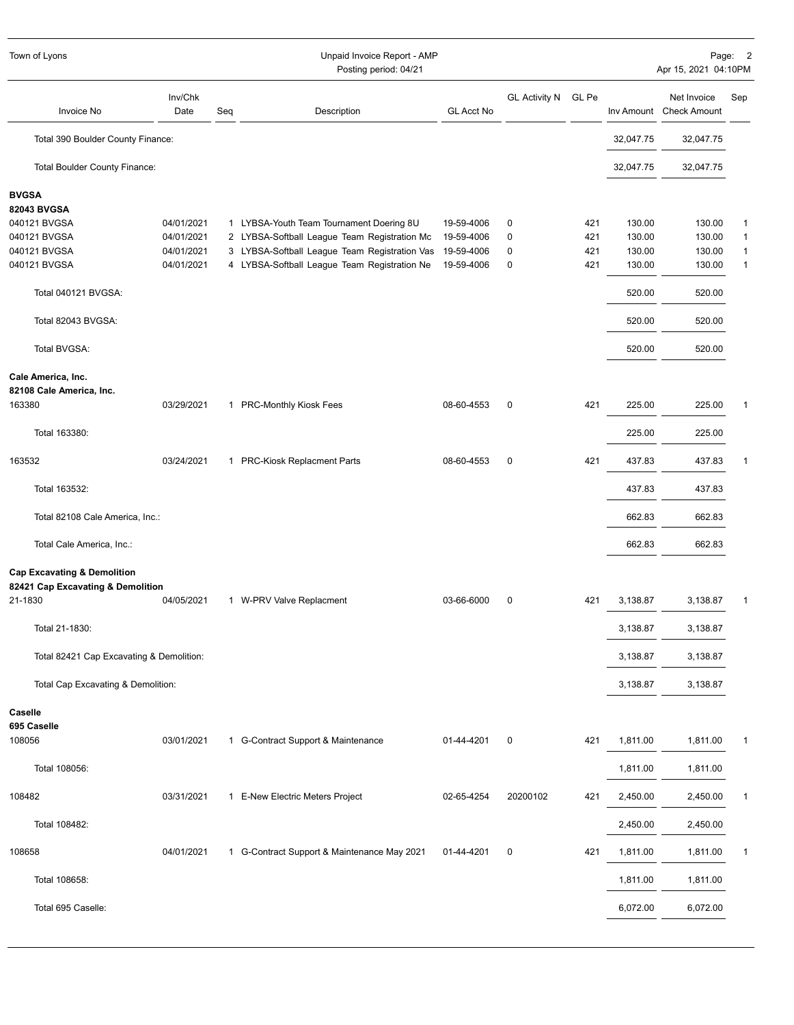| Town of Lyons                                                                          |                 |     | Unpaid Invoice Report - AMP<br>Posting period: 04/21 |                   |                      |       |           | Apr 15, 2021 04:10PM                   | Page: 2      |
|----------------------------------------------------------------------------------------|-----------------|-----|------------------------------------------------------|-------------------|----------------------|-------|-----------|----------------------------------------|--------------|
| <b>Invoice No</b>                                                                      | Inv/Chk<br>Date | Seq | Description                                          | <b>GL Acct No</b> | <b>GL Activity N</b> | GL Pe |           | Net Invoice<br>Inv Amount Check Amount | Sep          |
| Total 390 Boulder County Finance:                                                      |                 |     |                                                      |                   |                      |       | 32,047.75 | 32,047.75                              |              |
| Total Boulder County Finance:                                                          |                 |     |                                                      |                   |                      |       | 32,047.75 | 32,047.75                              |              |
| <b>BVGSA</b>                                                                           |                 |     |                                                      |                   |                      |       |           |                                        |              |
| 82043 BVGSA                                                                            |                 |     |                                                      |                   |                      |       |           |                                        |              |
| 040121 BVGSA                                                                           | 04/01/2021      |     | 1 LYBSA-Youth Team Tournament Doering 8U             | 19-59-4006        | 0                    | 421   | 130.00    | 130.00                                 | 1            |
| 040121 BVGSA                                                                           | 04/01/2021      |     | 2 LYBSA-Softball League Team Registration Mc         | 19-59-4006        | 0                    | 421   | 130.00    | 130.00                                 | 1            |
| 040121 BVGSA                                                                           | 04/01/2021      |     | 3 LYBSA-Softball League Team Registration Vas        | 19-59-4006        | 0                    | 421   | 130.00    | 130.00                                 | 1            |
| 040121 BVGSA                                                                           | 04/01/2021      |     | 4 LYBSA-Softball League Team Registration Ne         | 19-59-4006        | 0                    | 421   | 130.00    | 130.00                                 | $\mathbf{1}$ |
| Total 040121 BVGSA:                                                                    |                 |     |                                                      |                   |                      |       | 520.00    | 520.00                                 |              |
| Total 82043 BVGSA:                                                                     |                 |     |                                                      |                   |                      |       | 520.00    | 520.00                                 |              |
| Total BVGSA:                                                                           |                 |     |                                                      |                   |                      |       | 520.00    | 520.00                                 |              |
| Cale America, Inc.<br>82108 Cale America, Inc.                                         |                 |     |                                                      |                   |                      |       |           |                                        |              |
| 163380                                                                                 | 03/29/2021      |     | 1 PRC-Monthly Kiosk Fees                             | 08-60-4553        | 0                    | 421   | 225.00    | 225.00                                 |              |
| Total 163380:                                                                          |                 |     |                                                      |                   |                      |       | 225.00    | 225.00                                 |              |
| 163532                                                                                 | 03/24/2021      |     | 1 PRC-Kiosk Replacment Parts                         | 08-60-4553        | 0                    | 421   | 437.83    | 437.83                                 | 1            |
| Total 163532:                                                                          |                 |     |                                                      |                   |                      |       | 437.83    | 437.83                                 |              |
| Total 82108 Cale America, Inc.:                                                        |                 |     |                                                      |                   |                      |       | 662.83    | 662.83                                 |              |
| Total Cale America, Inc.:                                                              |                 |     |                                                      |                   |                      |       | 662.83    | 662.83                                 |              |
| <b>Cap Excavating &amp; Demolition</b><br>82421 Cap Excavating & Demolition<br>21-1830 | 04/05/2021      |     | 1 W-PRV Valve Replacment                             | 03-66-6000        | 0                    | 421   | 3,138.87  | 3,138.87                               | -1           |
| Total 21-1830:                                                                         |                 |     |                                                      |                   |                      |       | 3,138.87  | 3,138.87                               |              |
| Total 82421 Cap Excavating & Demolition:                                               |                 |     |                                                      |                   |                      |       | 3,138.87  | 3,138.87                               |              |
| Total Cap Excavating & Demolition:                                                     |                 |     |                                                      |                   |                      |       | 3,138.87  | 3,138.87                               |              |
|                                                                                        |                 |     |                                                      |                   |                      |       |           |                                        |              |
| Caselle                                                                                |                 |     |                                                      |                   |                      |       |           |                                        |              |
| 695 Caselle<br>108056                                                                  | 03/01/2021      |     | 1 G-Contract Support & Maintenance                   | 01-44-4201        | $\pmb{0}$            | 421   | 1,811.00  | 1,811.00                               | 1            |
|                                                                                        |                 |     |                                                      |                   |                      |       |           |                                        |              |
| Total 108056:                                                                          |                 |     |                                                      |                   |                      |       | 1,811.00  | 1,811.00                               |              |
| 108482                                                                                 | 03/31/2021      |     | 1 E-New Electric Meters Project                      | 02-65-4254        | 20200102             | 421   | 2,450.00  | 2,450.00                               | $\mathbf 1$  |
| Total 108482:                                                                          |                 |     |                                                      |                   |                      |       | 2,450.00  | 2,450.00                               |              |
| 108658                                                                                 | 04/01/2021      |     | 1 G-Contract Support & Maintenance May 2021          | 01-44-4201        | $\pmb{0}$            | 421   | 1,811.00  | 1,811.00                               | 1            |
| Total 108658:                                                                          |                 |     |                                                      |                   |                      |       | 1,811.00  | 1,811.00                               |              |
| Total 695 Caselle:                                                                     |                 |     |                                                      |                   |                      |       | 6,072.00  | 6,072.00                               |              |
|                                                                                        |                 |     |                                                      |                   |                      |       |           |                                        |              |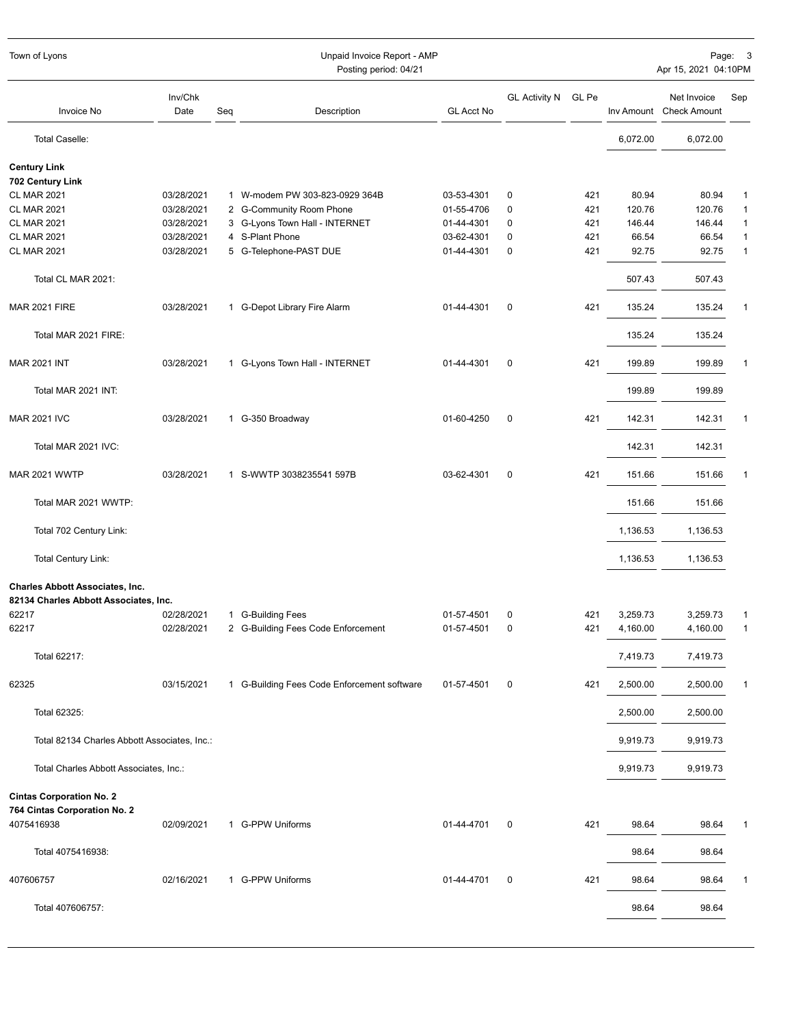| Town of Lyons                                | Unpaid Invoice Report - AMP<br>Posting period: 04/21 |     |                                             |                   |                      |       |          |                                        | Page: 3<br>Apr 15, 2021 04:10PM |  |  |
|----------------------------------------------|------------------------------------------------------|-----|---------------------------------------------|-------------------|----------------------|-------|----------|----------------------------------------|---------------------------------|--|--|
| <b>Invoice No</b>                            | Inv/Chk<br>Date                                      | Seq | Description                                 | <b>GL Acct No</b> | <b>GL Activity N</b> | GL Pe |          | Net Invoice<br>Inv Amount Check Amount | Sep                             |  |  |
| Total Caselle:                               |                                                      |     |                                             |                   |                      |       | 6,072.00 | 6,072.00                               |                                 |  |  |
| <b>Century Link</b>                          |                                                      |     |                                             |                   |                      |       |          |                                        |                                 |  |  |
| 702 Century Link                             |                                                      |     |                                             |                   |                      |       |          |                                        |                                 |  |  |
| <b>CL MAR 2021</b>                           | 03/28/2021                                           |     | 1 W-modem PW 303-823-0929 364B              | 03-53-4301        | 0                    | 421   | 80.94    | 80.94                                  | 1                               |  |  |
| <b>CL MAR 2021</b>                           | 03/28/2021                                           |     | 2 G-Community Room Phone                    | 01-55-4706        | $\pmb{0}$            | 421   | 120.76   | 120.76                                 | 1                               |  |  |
| <b>CL MAR 2021</b>                           | 03/28/2021                                           |     | 3 G-Lyons Town Hall - INTERNET              | 01-44-4301        | 0                    | 421   | 146.44   | 146.44                                 | $\mathbf{1}$                    |  |  |
| <b>CL MAR 2021</b>                           | 03/28/2021                                           |     | 4 S-Plant Phone                             | 03-62-4301        | 0                    | 421   | 66.54    | 66.54                                  | $\mathbf{1}$                    |  |  |
| <b>CL MAR 2021</b>                           | 03/28/2021                                           |     | 5 G-Telephone-PAST DUE                      | 01-44-4301        | $\mathbf 0$          | 421   | 92.75    | 92.75                                  | $\mathbf{1}$                    |  |  |
| Total CL MAR 2021:                           |                                                      |     |                                             |                   |                      |       | 507.43   | 507.43                                 |                                 |  |  |
| <b>MAR 2021 FIRE</b>                         | 03/28/2021                                           |     | 1 G-Depot Library Fire Alarm                | 01-44-4301        | $\mathbf 0$          | 421   | 135.24   | 135.24                                 | $\mathbf{1}$                    |  |  |
| Total MAR 2021 FIRE:                         |                                                      |     |                                             |                   |                      |       | 135.24   | 135.24                                 |                                 |  |  |
| <b>MAR 2021 INT</b>                          | 03/28/2021                                           |     | 1 G-Lyons Town Hall - INTERNET              | 01-44-4301        | $\mathbf 0$          | 421   | 199.89   | 199.89                                 | 1                               |  |  |
| Total MAR 2021 INT:                          |                                                      |     |                                             |                   |                      |       | 199.89   | 199.89                                 |                                 |  |  |
| <b>MAR 2021 IVC</b>                          | 03/28/2021                                           |     | 1 G-350 Broadway                            | 01-60-4250        | $\mathbf 0$          | 421   | 142.31   | 142.31                                 | $\mathbf{1}$                    |  |  |
| Total MAR 2021 IVC:                          |                                                      |     |                                             |                   |                      |       | 142.31   | 142.31                                 |                                 |  |  |
| <b>MAR 2021 WWTP</b>                         | 03/28/2021                                           |     | 1 S-WWTP 3038235541 597B                    | 03-62-4301        | $\mathbf 0$          | 421   | 151.66   | 151.66                                 | 1                               |  |  |
| Total MAR 2021 WWTP:                         |                                                      |     |                                             |                   |                      |       | 151.66   | 151.66                                 |                                 |  |  |
| Total 702 Century Link:                      |                                                      |     |                                             |                   |                      |       | 1,136.53 | 1,136.53                               |                                 |  |  |
| <b>Total Century Link:</b>                   |                                                      |     |                                             |                   |                      |       | 1,136.53 | 1,136.53                               |                                 |  |  |
| <b>Charles Abbott Associates, Inc.</b>       |                                                      |     |                                             |                   |                      |       |          |                                        |                                 |  |  |
| 82134 Charles Abbott Associates, Inc.        |                                                      |     |                                             |                   |                      |       |          |                                        |                                 |  |  |
| 62217                                        | 02/28/2021                                           |     | 1 G-Building Fees                           | 01-57-4501        | 0                    | 421   | 3,259.73 | 3,259.73                               | 1<br>$\mathbf{1}$               |  |  |
| 62217                                        | 02/28/2021                                           |     | 2 G-Building Fees Code Enforcement          | 01-57-4501        | 0                    | 421   | 4,160.00 | 4,160.00                               |                                 |  |  |
| Total 62217:                                 |                                                      |     |                                             |                   |                      |       | 7,419.73 | 7,419.73                               |                                 |  |  |
| 62325                                        | 03/15/2021                                           |     | 1 G-Building Fees Code Enforcement software | 01-57-4501        | 0                    | 421   | 2,500.00 | 2,500.00                               | $\mathbf{1}$                    |  |  |
| Total 62325:                                 |                                                      |     |                                             |                   |                      |       | 2,500.00 | 2,500.00                               |                                 |  |  |
| Total 82134 Charles Abbott Associates, Inc.: |                                                      |     |                                             |                   |                      |       | 9,919.73 | 9,919.73                               |                                 |  |  |
| Total Charles Abbott Associates, Inc.:       |                                                      |     |                                             |                   |                      |       | 9,919.73 | 9,919.73                               |                                 |  |  |
|                                              |                                                      |     |                                             |                   |                      |       |          |                                        |                                 |  |  |
| <b>Cintas Corporation No. 2</b>              |                                                      |     |                                             |                   |                      |       |          |                                        |                                 |  |  |
| 764 Cintas Corporation No. 2                 |                                                      |     |                                             |                   |                      |       |          |                                        |                                 |  |  |
| 4075416938                                   | 02/09/2021                                           |     | 1 G-PPW Uniforms                            | 01-44-4701        | 0                    | 421   | 98.64    | 98.64                                  | 1                               |  |  |
| Total 4075416938:                            |                                                      |     |                                             |                   |                      |       | 98.64    | 98.64                                  |                                 |  |  |
| 407606757                                    | 02/16/2021                                           |     | 1 G-PPW Uniforms                            | 01-44-4701        | 0                    | 421   | 98.64    | 98.64                                  | 1                               |  |  |
| Total 407606757:                             |                                                      |     |                                             |                   |                      |       | 98.64    | 98.64                                  |                                 |  |  |
|                                              |                                                      |     |                                             |                   |                      |       |          |                                        |                                 |  |  |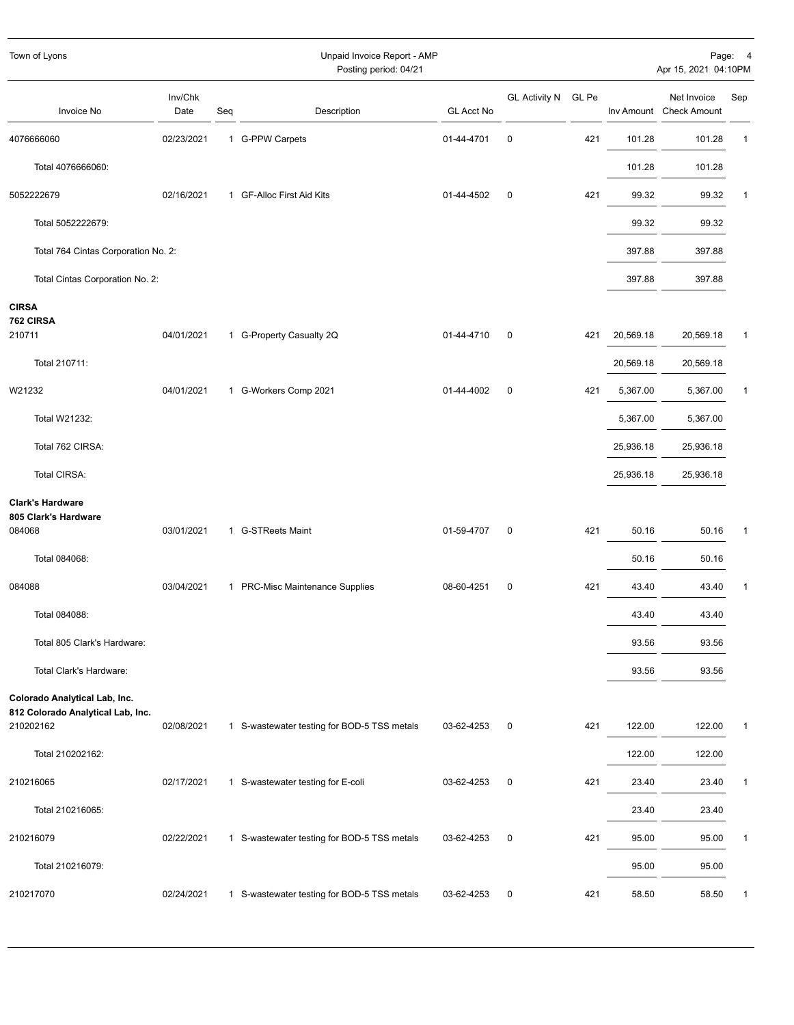| Town of Lyons                                                                   |                 |     | Unpaid Invoice Report - AMP<br>Posting period: 04/21 |                   |                      |       |                        | Apr 15, 2021 04:10PM                   | Page: 4 |
|---------------------------------------------------------------------------------|-----------------|-----|------------------------------------------------------|-------------------|----------------------|-------|------------------------|----------------------------------------|---------|
| Invoice No                                                                      | Inv/Chk<br>Date | Seq | Description                                          | <b>GL Acct No</b> | <b>GL Activity N</b> | GL Pe |                        | Net Invoice<br>Inv Amount Check Amount | Sep     |
| 4076666060                                                                      | 02/23/2021      |     | 1 G-PPW Carpets                                      | 01-44-4701        | $\mathbf 0$          | 421   | 101.28                 | 101.28                                 | 1       |
| Total 4076666060:                                                               |                 |     |                                                      |                   |                      |       | 101.28                 | 101.28                                 |         |
| 5052222679                                                                      | 02/16/2021      |     | 1 GF-Alloc First Aid Kits                            | 01-44-4502        | 0                    | 421   | 99.32                  | 99.32                                  | 1       |
| Total 5052222679:                                                               |                 |     |                                                      |                   |                      |       | 99.32                  | 99.32                                  |         |
| Total 764 Cintas Corporation No. 2:                                             |                 |     |                                                      |                   |                      |       | 397.88                 | 397.88                                 |         |
| Total Cintas Corporation No. 2:                                                 |                 |     |                                                      |                   |                      |       | 397.88                 | 397.88                                 |         |
| <b>CIRSA</b><br>762 CIRSA<br>210711<br>Total 210711:                            | 04/01/2021      |     | 1 G-Property Casualty 2Q                             | 01-44-4710        | 0                    | 421   | 20,569.18<br>20,569.18 | 20,569.18<br>20,569.18                 | -1      |
| W21232                                                                          | 04/01/2021      |     | 1 G-Workers Comp 2021                                | 01-44-4002        | 0                    | 421   | 5,367.00               | 5,367.00                               | 1       |
| Total W21232:                                                                   |                 |     |                                                      |                   |                      |       | 5,367.00               | 5,367.00                               |         |
| Total 762 CIRSA:                                                                |                 |     |                                                      |                   |                      |       | 25,936.18              | 25,936.18                              |         |
| Total CIRSA:                                                                    |                 |     |                                                      |                   |                      |       | 25,936.18              | 25,936.18                              |         |
| <b>Clark's Hardware</b><br>805 Clark's Hardware<br>084068                       | 03/01/2021      |     | 1 G-STReets Maint                                    | 01-59-4707        | 0                    | 421   | 50.16                  | 50.16                                  | 1       |
| Total 084068:                                                                   |                 |     |                                                      |                   |                      |       | 50.16                  | 50.16                                  |         |
| 084088                                                                          | 03/04/2021      |     | 1 PRC-Misc Maintenance Supplies                      | 08-60-4251        | $\pmb{0}$            | 421   | 43.40                  | 43.40                                  | 1       |
| Total 084088:                                                                   |                 |     |                                                      |                   |                      |       | 43.40                  | 43.40                                  |         |
| Total 805 Clark's Hardware:                                                     |                 |     |                                                      |                   |                      |       | 93.56                  | 93.56                                  |         |
| Total Clark's Hardware:                                                         |                 |     |                                                      |                   |                      |       | 93.56                  | 93.56                                  |         |
| Colorado Analytical Lab, Inc.<br>812 Colorado Analytical Lab, Inc.<br>210202162 | 02/08/2021      |     | 1 S-wastewater testing for BOD-5 TSS metals          | 03-62-4253        | 0                    | 421   | 122.00                 | 122.00                                 | 1       |
| Total 210202162:                                                                |                 |     |                                                      |                   |                      |       | 122.00                 | 122.00                                 |         |
| 210216065                                                                       | 02/17/2021      |     | 1 S-wastewater testing for E-coli                    | 03-62-4253        | 0                    | 421   | 23.40                  | 23.40                                  | 1       |
| Total 210216065:                                                                |                 |     |                                                      |                   |                      |       | 23.40                  | 23.40                                  |         |
| 210216079                                                                       | 02/22/2021      |     | 1 S-wastewater testing for BOD-5 TSS metals          | 03-62-4253        | $\pmb{0}$            | 421   | 95.00                  | 95.00                                  | 1       |
| Total 210216079:                                                                |                 |     |                                                      |                   |                      |       | 95.00                  | 95.00                                  |         |
| 210217070                                                                       | 02/24/2021      |     | 1 S-wastewater testing for BOD-5 TSS metals          | 03-62-4253        | 0                    | 421   | 58.50                  | 58.50                                  | 1       |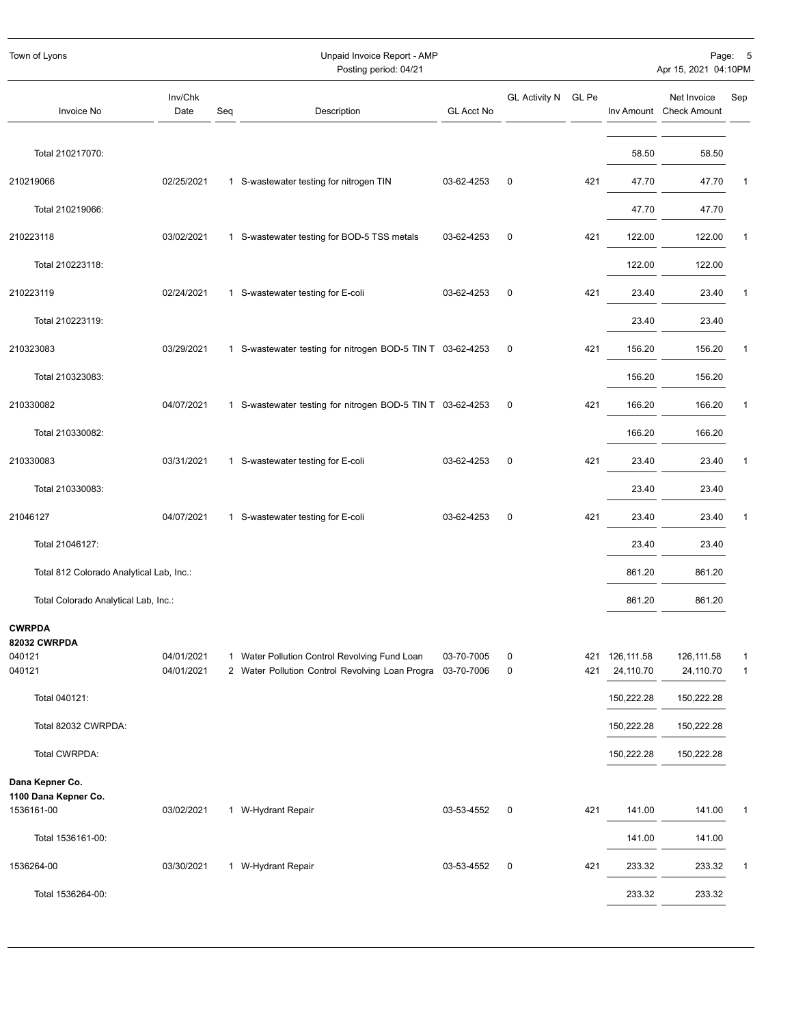| Town of Lyons                            |                          |     | Unpaid Invoice Report - AMP<br>Posting period: 04/21                                                        |                   |                      |       |                             | Apr 15, 2021 04:10PM                   | Page: 5           |
|------------------------------------------|--------------------------|-----|-------------------------------------------------------------------------------------------------------------|-------------------|----------------------|-------|-----------------------------|----------------------------------------|-------------------|
| Invoice No                               | Inv/Chk<br>Date          | Seq | Description                                                                                                 | <b>GL Acct No</b> | <b>GL Activity N</b> | GL Pe |                             | Net Invoice<br>Inv Amount Check Amount | Sep               |
| Total 210217070:                         |                          |     |                                                                                                             |                   |                      |       | 58.50                       | 58.50                                  |                   |
| 210219066                                | 02/25/2021               |     | 1 S-wastewater testing for nitrogen TIN                                                                     | 03-62-4253        | 0                    | 421   | 47.70                       | 47.70                                  | $\mathbf{1}$      |
| Total 210219066:                         |                          |     |                                                                                                             |                   |                      |       | 47.70                       | 47.70                                  |                   |
| 210223118                                | 03/02/2021               |     | 1 S-wastewater testing for BOD-5 TSS metals                                                                 | 03-62-4253        | $\pmb{0}$            | 421   | 122.00                      | 122.00                                 | $\overline{1}$    |
| Total 210223118:                         |                          |     |                                                                                                             |                   |                      |       | 122.00                      | 122.00                                 |                   |
| 210223119                                | 02/24/2021               |     | 1 S-wastewater testing for E-coli                                                                           | 03-62-4253        | $\pmb{0}$            | 421   | 23.40                       | 23.40                                  | $\mathbf{1}$      |
| Total 210223119:                         |                          |     |                                                                                                             |                   |                      |       | 23.40                       | 23.40                                  |                   |
| 210323083                                | 03/29/2021               |     | 1 S-wastewater testing for nitrogen BOD-5 TIN T 03-62-4253                                                  |                   | $\mathbf 0$          | 421   | 156.20                      | 156.20                                 | $\mathbf{1}$      |
| Total 210323083:                         |                          |     |                                                                                                             |                   |                      |       | 156.20                      | 156.20                                 |                   |
| 210330082                                | 04/07/2021               |     | 1 S-wastewater testing for nitrogen BOD-5 TIN T 03-62-4253                                                  |                   | $\mathbf 0$          | 421   | 166.20                      | 166.20                                 | $\mathbf 1$       |
| Total 210330082:                         |                          |     |                                                                                                             |                   |                      |       | 166.20                      | 166.20                                 |                   |
| 210330083                                | 03/31/2021               |     | 1 S-wastewater testing for E-coli                                                                           | 03-62-4253        | $\pmb{0}$            | 421   | 23.40                       | 23.40                                  | $\mathbf{1}$      |
| Total 210330083:                         |                          |     |                                                                                                             |                   |                      |       | 23.40                       | 23.40                                  |                   |
| 21046127                                 | 04/07/2021               |     | 1 S-wastewater testing for E-coli                                                                           | 03-62-4253        | $\mathbf 0$          | 421   | 23.40                       | 23.40                                  | $\mathbf{1}$      |
| Total 21046127:                          |                          |     |                                                                                                             |                   |                      |       | 23.40                       | 23.40                                  |                   |
| Total 812 Colorado Analytical Lab, Inc.: |                          |     |                                                                                                             |                   |                      |       | 861.20                      | 861.20                                 |                   |
| Total Colorado Analytical Lab, Inc.:     |                          |     |                                                                                                             |                   |                      |       | 861.20                      | 861.20                                 |                   |
| <b>CWRPDA</b><br>82032 CWRPDA            |                          |     |                                                                                                             |                   |                      |       |                             |                                        |                   |
| 040121<br>040121                         | 04/01/2021<br>04/01/2021 |     | 1 Water Pollution Control Revolving Fund Loan<br>2 Water Pollution Control Revolving Loan Progra 03-70-7006 | 03-70-7005        | 0<br>0               | 421   | 421 126,111.58<br>24,110.70 | 126,111.58<br>24,110.70                | 1<br>$\mathbf{1}$ |
| Total 040121:                            |                          |     |                                                                                                             |                   |                      |       | 150,222.28                  | 150,222.28                             |                   |
| Total 82032 CWRPDA:                      |                          |     |                                                                                                             |                   |                      |       | 150,222.28                  | 150,222.28                             |                   |
| Total CWRPDA:                            |                          |     |                                                                                                             |                   |                      |       | 150,222.28                  | 150,222.28                             |                   |
| Dana Kepner Co.<br>1100 Dana Kepner Co.  |                          |     |                                                                                                             |                   |                      |       |                             |                                        |                   |
| 1536161-00                               | 03/02/2021               |     | 1 W-Hydrant Repair                                                                                          | 03-53-4552        | 0                    | 421   | 141.00                      | 141.00                                 | $\mathbf{1}$      |
| Total 1536161-00:                        |                          |     |                                                                                                             |                   |                      |       | 141.00                      | 141.00                                 |                   |
| 1536264-00                               | 03/30/2021               |     | 1 W-Hydrant Repair                                                                                          | 03-53-4552        | 0                    | 421   | 233.32                      | 233.32                                 | $\mathbf{1}$      |
| Total 1536264-00:                        |                          |     |                                                                                                             |                   |                      |       | 233.32                      | 233.32                                 |                   |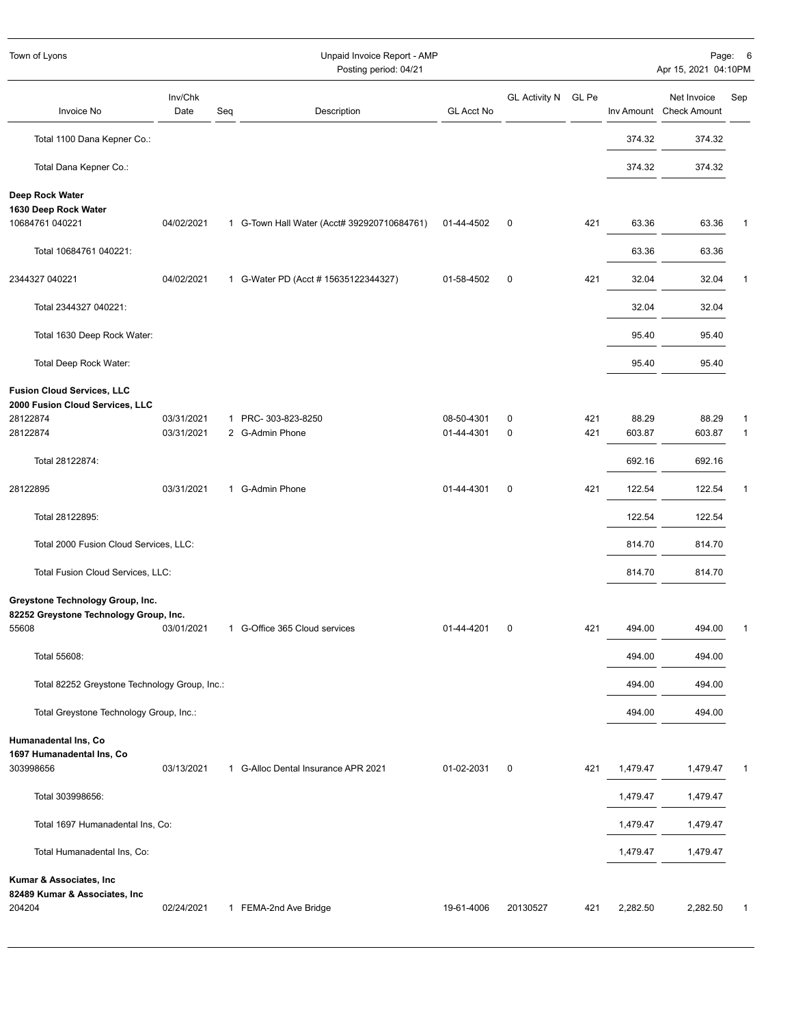| Town of Lyons                                                              |                 |     | Unpaid Invoice Report - AMP<br>Posting period: 04/21 |                   |                     |     |          | Apr 15, 2021 04:10PM                   | Page: 6      |
|----------------------------------------------------------------------------|-----------------|-----|------------------------------------------------------|-------------------|---------------------|-----|----------|----------------------------------------|--------------|
| Invoice No                                                                 | Inv/Chk<br>Date | Seq | Description                                          | <b>GL Acct No</b> | GL Activity N GL Pe |     |          | Net Invoice<br>Inv Amount Check Amount | Sep          |
| Total 1100 Dana Kepner Co.:                                                |                 |     |                                                      |                   |                     |     | 374.32   | 374.32                                 |              |
| Total Dana Kepner Co.:                                                     |                 |     |                                                      |                   |                     |     | 374.32   | 374.32                                 |              |
| Deep Rock Water<br>1630 Deep Rock Water                                    |                 |     |                                                      |                   |                     |     |          |                                        |              |
| 10684761 040221                                                            | 04/02/2021      |     | 1 G-Town Hall Water (Acct# 392920710684761)          | 01-44-4502        | 0                   | 421 | 63.36    | 63.36                                  | 1            |
| Total 10684761 040221:                                                     |                 |     |                                                      |                   |                     |     | 63.36    | 63.36                                  |              |
| 2344327 040221                                                             | 04/02/2021      |     | 1 G-Water PD (Acct # 15635122344327)                 | 01-58-4502        | 0                   | 421 | 32.04    | 32.04                                  | 1            |
| Total 2344327 040221:                                                      |                 |     |                                                      |                   |                     |     | 32.04    | 32.04                                  |              |
| Total 1630 Deep Rock Water:                                                |                 |     |                                                      |                   |                     |     | 95.40    | 95.40                                  |              |
| Total Deep Rock Water:                                                     |                 |     |                                                      |                   |                     |     | 95.40    | 95.40                                  |              |
| <b>Fusion Cloud Services, LLC</b><br>2000 Fusion Cloud Services, LLC       |                 |     |                                                      |                   |                     |     |          |                                        |              |
| 28122874                                                                   | 03/31/2021      |     | 1 PRC-303-823-8250                                   | 08-50-4301        | 0                   | 421 | 88.29    | 88.29                                  | 1            |
| 28122874                                                                   | 03/31/2021      |     | 2 G-Admin Phone                                      | 01-44-4301        | 0                   | 421 | 603.87   | 603.87                                 | $\mathbf{1}$ |
| Total 28122874:                                                            |                 |     |                                                      |                   |                     |     | 692.16   | 692.16                                 |              |
| 28122895                                                                   | 03/31/2021      |     | 1 G-Admin Phone                                      | 01-44-4301        | 0                   | 421 | 122.54   | 122.54                                 | -1           |
| Total 28122895:                                                            |                 |     |                                                      |                   |                     |     | 122.54   | 122.54                                 |              |
| Total 2000 Fusion Cloud Services, LLC:                                     |                 |     |                                                      |                   |                     |     | 814.70   | 814.70                                 |              |
| Total Fusion Cloud Services, LLC:                                          |                 |     |                                                      |                   |                     |     | 814.70   | 814.70                                 |              |
| Greystone Technology Group, Inc.<br>82252 Greystone Technology Group, Inc. |                 |     |                                                      |                   |                     |     |          |                                        |              |
| 55608                                                                      | 03/01/2021      |     | 1 G-Office 365 Cloud services                        | 01-44-4201        | 0                   | 421 | 494.00   | 494.00                                 |              |
| Total 55608:                                                               |                 |     |                                                      |                   |                     |     | 494.00   | 494.00                                 |              |
| Total 82252 Greystone Technology Group, Inc.:                              |                 |     |                                                      |                   |                     |     | 494.00   | 494.00                                 |              |
| Total Greystone Technology Group, Inc.:                                    |                 |     |                                                      |                   |                     |     | 494.00   | 494.00                                 |              |
| Humanadental Ins, Co                                                       |                 |     |                                                      |                   |                     |     |          |                                        |              |
| 1697 Humanadental Ins, Co<br>303998656                                     | 03/13/2021      |     | 1 G-Alloc Dental Insurance APR 2021                  | 01-02-2031        | 0                   | 421 | 1,479.47 | 1,479.47                               | $\mathbf{1}$ |
| Total 303998656:                                                           |                 |     |                                                      |                   |                     |     | 1,479.47 | 1,479.47                               |              |
| Total 1697 Humanadental Ins, Co:                                           |                 |     |                                                      |                   |                     |     | 1,479.47 | 1,479.47                               |              |
| Total Humanadental Ins, Co:                                                |                 |     |                                                      |                   |                     |     | 1,479.47 | 1,479.47                               |              |
| Kumar & Associates, Inc<br>82489 Kumar & Associates, Inc                   |                 |     |                                                      |                   |                     |     |          |                                        |              |
| 204204                                                                     | 02/24/2021      |     | 1 FEMA-2nd Ave Bridge                                | 19-61-4006        | 20130527            | 421 | 2,282.50 | 2,282.50                               | $\mathbf{1}$ |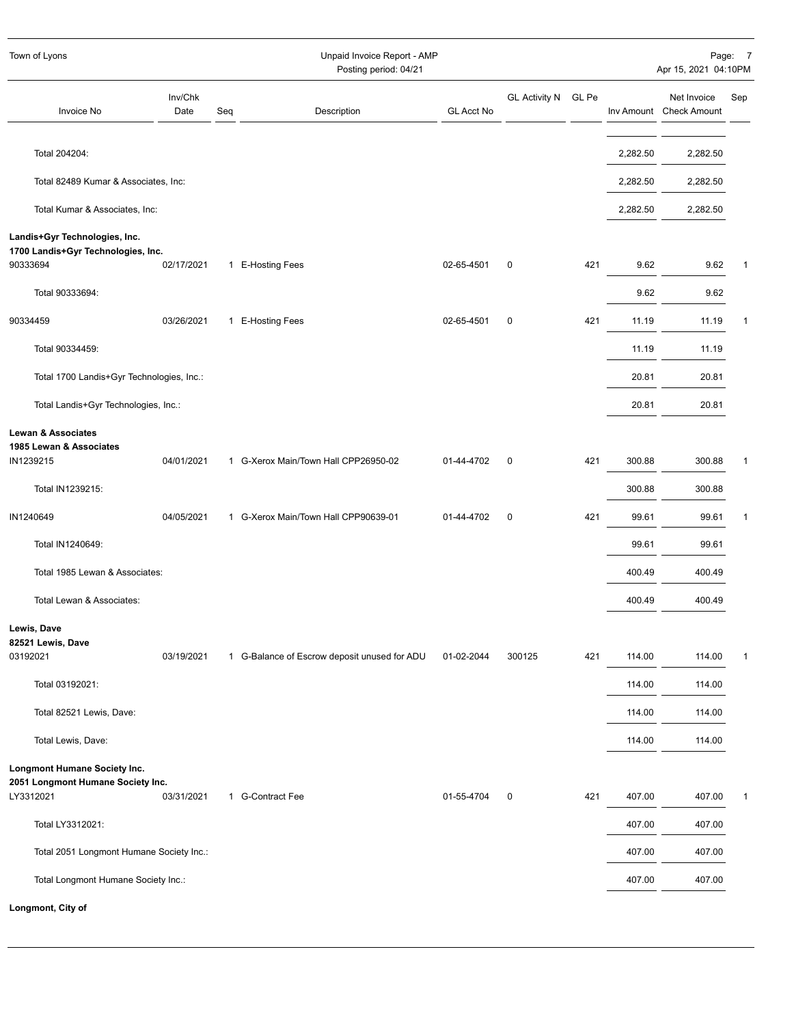| Town of Lyons                                                                   |                 |     | Unpaid Invoice Report - AMP<br>Posting period: 04/21 |                   |                     |     |          | Apr 15, 2021 04:10PM                   | Page: 7     |
|---------------------------------------------------------------------------------|-----------------|-----|------------------------------------------------------|-------------------|---------------------|-----|----------|----------------------------------------|-------------|
| <b>Invoice No</b>                                                               | Inv/Chk<br>Date | Seq | Description                                          | <b>GL Acct No</b> | GL Activity N GL Pe |     |          | Net Invoice<br>Inv Amount Check Amount | Sep         |
| Total 204204:                                                                   |                 |     |                                                      |                   |                     |     | 2,282.50 | 2,282.50                               |             |
| Total 82489 Kumar & Associates, Inc:                                            |                 |     |                                                      |                   |                     |     | 2,282.50 | 2,282.50                               |             |
| Total Kumar & Associates, Inc:                                                  |                 |     |                                                      |                   |                     |     | 2,282.50 | 2,282.50                               |             |
| Landis+Gyr Technologies, Inc.<br>1700 Landis+Gyr Technologies, Inc.<br>90333694 | 02/17/2021      |     | 1 E-Hosting Fees                                     | 02-65-4501        | $\mathbf 0$         | 421 | 9.62     | 9.62                                   | $\mathbf 1$ |
| Total 90333694:                                                                 |                 |     |                                                      |                   |                     |     | 9.62     | 9.62                                   |             |
| 90334459                                                                        | 03/26/2021      |     | 1 E-Hosting Fees                                     | 02-65-4501        | $\mathbf 0$         | 421 | 11.19    | 11.19                                  | 1           |
| Total 90334459:                                                                 |                 |     |                                                      |                   |                     |     | 11.19    | 11.19                                  |             |
| Total 1700 Landis+Gyr Technologies, Inc.:                                       |                 |     |                                                      |                   |                     |     | 20.81    | 20.81                                  |             |
| Total Landis+Gyr Technologies, Inc.:                                            |                 |     |                                                      |                   |                     |     | 20.81    | 20.81                                  |             |
| <b>Lewan &amp; Associates</b>                                                   |                 |     |                                                      |                   |                     |     |          |                                        |             |
| 1985 Lewan & Associates<br>IN1239215                                            | 04/01/2021      |     | 1 G-Xerox Main/Town Hall CPP26950-02                 | 01-44-4702        | $\mathbf 0$         | 421 | 300.88   | 300.88                                 | 1           |
| Total IN1239215:                                                                |                 |     |                                                      |                   |                     |     | 300.88   | 300.88                                 |             |
| IN1240649                                                                       | 04/05/2021      |     | 1 G-Xerox Main/Town Hall CPP90639-01                 | 01-44-4702        | $\pmb{0}$           | 421 | 99.61    | 99.61                                  | 1           |
| Total IN1240649:                                                                |                 |     |                                                      |                   |                     |     | 99.61    | 99.61                                  |             |
| Total 1985 Lewan & Associates:                                                  |                 |     |                                                      |                   |                     |     | 400.49   | 400.49                                 |             |
| Total Lewan & Associates:                                                       |                 |     |                                                      |                   |                     |     | 400.49   | 400.49                                 |             |
| Lewis, Dave<br>82521 Lewis, Dave                                                |                 |     |                                                      |                   |                     |     |          |                                        |             |
| 03192021                                                                        | 03/19/2021      |     | 1 G-Balance of Escrow deposit unused for ADU         | 01-02-2044        | 300125              | 421 | 114.00   | 114.00                                 | 1           |
| Total 03192021:                                                                 |                 |     |                                                      |                   |                     |     | 114.00   | 114.00                                 |             |
| Total 82521 Lewis, Dave:                                                        |                 |     |                                                      |                   |                     |     | 114.00   | 114.00                                 |             |
| Total Lewis, Dave:                                                              |                 |     |                                                      |                   |                     |     | 114.00   | 114.00                                 |             |
| Longmont Humane Society Inc.<br>2051 Longmont Humane Society Inc.<br>LY3312021  | 03/31/2021      |     | 1 G-Contract Fee                                     | 01-55-4704        | 0                   | 421 | 407.00   | 407.00                                 | $\mathbf 1$ |
| Total LY3312021:                                                                |                 |     |                                                      |                   |                     |     | 407.00   | 407.00                                 |             |
| Total 2051 Longmont Humane Society Inc.:                                        |                 |     |                                                      |                   |                     |     | 407.00   | 407.00                                 |             |
| Total Longmont Humane Society Inc.:                                             |                 |     |                                                      |                   |                     |     | 407.00   | 407.00                                 |             |
| Longmont, City of                                                               |                 |     |                                                      |                   |                     |     |          |                                        |             |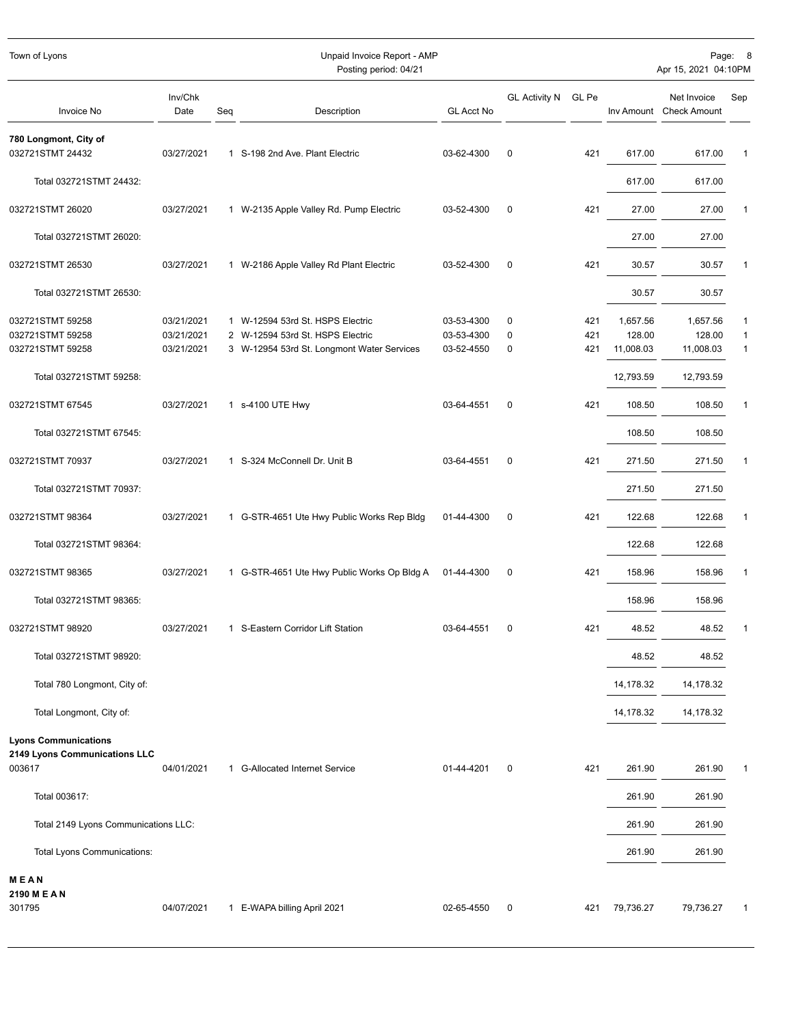| Town of Lyons                             |                 |     | Unpaid Invoice Report - AMP<br>Posting period: 04/21 |                   |                      |       |           | Apr 15, 2021 04:10PM                   | Page: 8      |
|-------------------------------------------|-----------------|-----|------------------------------------------------------|-------------------|----------------------|-------|-----------|----------------------------------------|--------------|
|                                           |                 |     |                                                      |                   |                      |       |           |                                        |              |
| Invoice No                                | Inv/Chk<br>Date | Seq | Description                                          | <b>GL Acct No</b> | <b>GL Activity N</b> | GL Pe |           | Net Invoice<br>Inv Amount Check Amount | Sep          |
| 780 Longmont, City of<br>032721STMT 24432 | 03/27/2021      |     | 1 S-198 2nd Ave. Plant Electric                      | 03-62-4300        | $\mathbf 0$          | 421   | 617.00    | 617.00                                 | 1            |
| Total 032721STMT 24432:                   |                 |     |                                                      |                   |                      |       | 617.00    | 617.00                                 |              |
| 032721STMT 26020                          | 03/27/2021      |     | 1 W-2135 Apple Valley Rd. Pump Electric              | 03-52-4300        | 0                    | 421   | 27.00     | 27.00                                  | 1            |
| Total 032721STMT 26020:                   |                 |     |                                                      |                   |                      |       | 27.00     | 27.00                                  |              |
| 032721STMT 26530                          | 03/27/2021      |     | 1 W-2186 Apple Valley Rd Plant Electric              | 03-52-4300        | $\mathbf 0$          | 421   | 30.57     | 30.57                                  | 1            |
| Total 032721STMT 26530:                   |                 |     |                                                      |                   |                      |       | 30.57     | 30.57                                  |              |
| 032721STMT 59258                          | 03/21/2021      |     | 1 W-12594 53rd St. HSPS Electric                     | 03-53-4300        | 0                    | 421   | 1,657.56  | 1,657.56                               | 1            |
| 032721STMT 59258                          | 03/21/2021      |     | 2 W-12594 53rd St. HSPS Electric                     | 03-53-4300        | 0                    | 421   | 128.00    | 128.00                                 | 1            |
| 032721STMT 59258                          | 03/21/2021      |     | 3 W-12954 53rd St. Longmont Water Services           | 03-52-4550        | 0                    | 421   | 11,008.03 | 11,008.03                              | $\mathbf{1}$ |
| Total 032721STMT 59258:                   |                 |     |                                                      |                   |                      |       | 12,793.59 | 12,793.59                              |              |
| 032721STMT 67545                          | 03/27/2021      |     | 1 s-4100 UTE Hwy                                     | 03-64-4551        | $\mathbf 0$          | 421   | 108.50    | 108.50                                 | 1            |
| Total 032721STMT 67545:                   |                 |     |                                                      |                   |                      |       | 108.50    | 108.50                                 |              |
| 032721STMT 70937                          | 03/27/2021      |     | 1 S-324 McConnell Dr. Unit B                         | 03-64-4551        | $\pmb{0}$            | 421   | 271.50    | 271.50                                 | 1            |
| Total 032721STMT 70937:                   |                 |     |                                                      |                   |                      |       | 271.50    | 271.50                                 |              |
| 032721STMT 98364                          | 03/27/2021      |     | 1 G-STR-4651 Ute Hwy Public Works Rep Bldg           | 01-44-4300        | $\mathbf 0$          | 421   | 122.68    | 122.68                                 | 1            |
| Total 032721STMT 98364:                   |                 |     |                                                      |                   |                      |       | 122.68    | 122.68                                 |              |
| 032721STMT 98365                          | 03/27/2021      |     | 1 G-STR-4651 Ute Hwy Public Works Op Bldg A          | 01-44-4300        | 0                    | 421   | 158.96    | 158.96                                 | 1            |
| Total 032721STMT 98365:                   |                 |     |                                                      |                   |                      |       | 158.96    | 158.96                                 |              |
| 032721STMT 98920                          | 03/27/2021      |     | 1 S-Eastern Corridor Lift Station                    | 03-64-4551        | 0                    | 421   | 48.52     | 48.52                                  | 1            |
| Total 032721STMT 98920:                   |                 |     |                                                      |                   |                      |       | 48.52     | 48.52                                  |              |
| Total 780 Longmont, City of:              |                 |     |                                                      |                   |                      |       | 14,178.32 | 14,178.32                              |              |
| Total Longmont, City of:                  |                 |     |                                                      |                   |                      |       | 14,178.32 | 14,178.32                              |              |
| <b>Lyons Communications</b>               |                 |     |                                                      |                   |                      |       |           |                                        |              |
| 2149 Lyons Communications LLC<br>003617   | 04/01/2021      |     | 1 G-Allocated Internet Service                       | 01-44-4201        | 0                    | 421   | 261.90    | 261.90                                 | 1            |
| Total 003617:                             |                 |     |                                                      |                   |                      |       | 261.90    | 261.90                                 |              |
| Total 2149 Lyons Communications LLC:      |                 |     |                                                      |                   |                      |       | 261.90    | 261.90                                 |              |
| Total Lyons Communications:               |                 |     |                                                      |                   |                      |       | 261.90    | 261.90                                 |              |
| MEAN                                      |                 |     |                                                      |                   |                      |       |           |                                        |              |
| 2190 M E A N<br>301795                    | 04/07/2021      |     | 1 E-WAPA billing April 2021                          | 02-65-4550        | 0                    | 421   | 79,736.27 | 79,736.27                              | 1            |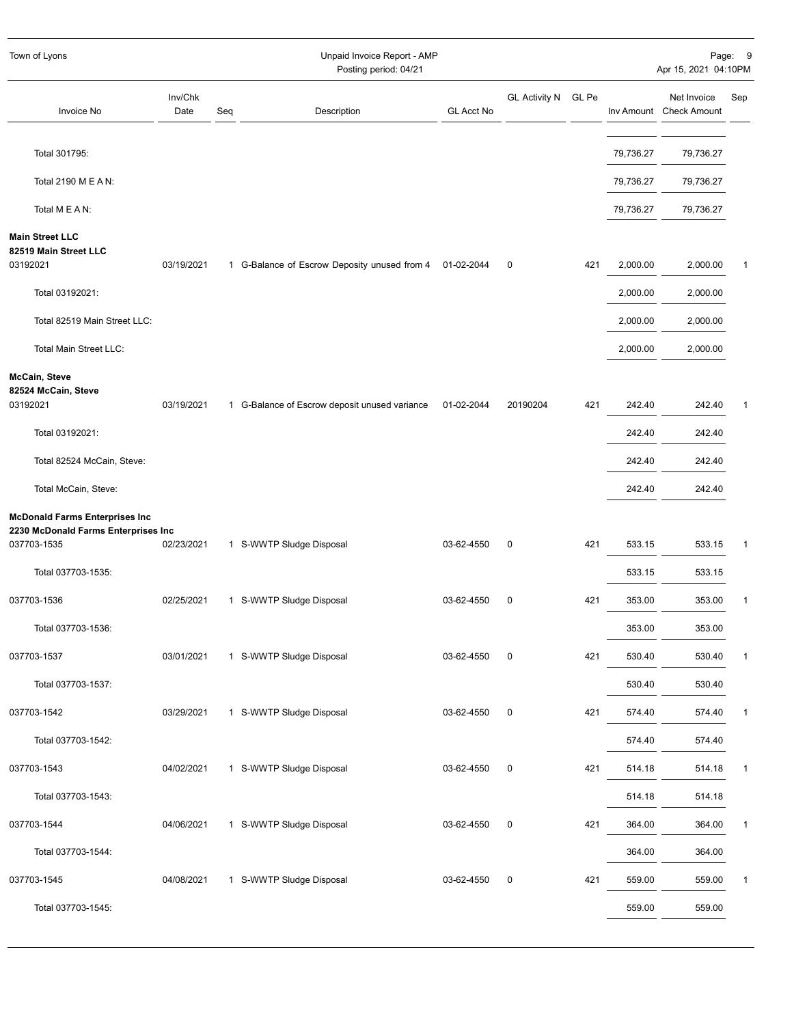| Town of Lyons                                                                               |                 |     | Unpaid Invoice Report - AMP<br>Posting period: 04/21 |                   |                     |     |           | Apr 15, 2021 04:10PM                   | Page: 9        |
|---------------------------------------------------------------------------------------------|-----------------|-----|------------------------------------------------------|-------------------|---------------------|-----|-----------|----------------------------------------|----------------|
| Invoice No                                                                                  | Inv/Chk<br>Date | Seq | Description                                          | <b>GL Acct No</b> | GL Activity N GL Pe |     |           | Net Invoice<br>Inv Amount Check Amount | Sep            |
| Total 301795:                                                                               |                 |     |                                                      |                   |                     |     | 79,736.27 | 79,736.27                              |                |
| Total 2190 M E A N:                                                                         |                 |     |                                                      |                   |                     |     | 79,736.27 | 79,736.27                              |                |
| Total M E A N:                                                                              |                 |     |                                                      |                   |                     |     | 79,736.27 | 79,736.27                              |                |
| <b>Main Street LLC</b><br>82519 Main Street LLC<br>03192021                                 | 03/19/2021      |     | 1 G-Balance of Escrow Deposity unused from 4         | 01-02-2044        | 0                   | 421 | 2,000.00  | 2,000.00                               | $\mathbf 1$    |
| Total 03192021:                                                                             |                 |     |                                                      |                   |                     |     | 2,000.00  | 2,000.00                               |                |
| Total 82519 Main Street LLC:                                                                |                 |     |                                                      |                   |                     |     | 2,000.00  | 2,000.00                               |                |
| Total Main Street LLC:                                                                      |                 |     |                                                      |                   |                     |     | 2,000.00  | 2,000.00                               |                |
| McCain, Steve<br>82524 McCain, Steve                                                        |                 |     |                                                      |                   |                     |     |           |                                        |                |
| 03192021                                                                                    | 03/19/2021      |     | 1 G-Balance of Escrow deposit unused variance        | 01-02-2044        | 20190204            | 421 | 242.40    | 242.40                                 | $\overline{1}$ |
| Total 03192021:                                                                             |                 |     |                                                      |                   |                     |     | 242.40    | 242.40                                 |                |
| Total 82524 McCain, Steve:                                                                  |                 |     |                                                      |                   |                     |     | 242.40    | 242.40                                 |                |
| Total McCain, Steve:                                                                        |                 |     |                                                      |                   |                     |     | 242.40    | 242.40                                 |                |
| <b>McDonald Farms Enterprises Inc</b><br>2230 McDonald Farms Enterprises Inc<br>037703-1535 | 02/23/2021      |     | 1 S-WWTP Sludge Disposal                             | 03-62-4550        | $\pmb{0}$           | 421 | 533.15    | 533.15                                 | $\mathbf{1}$   |
| Total 037703-1535:                                                                          |                 |     |                                                      |                   |                     |     | 533.15    | 533.15                                 |                |
| 037703-1536                                                                                 | 02/25/2021      |     | 1 S-WWTP Sludge Disposal                             | 03-62-4550        | 0                   | 421 | 353.00    | 353.00                                 | $\mathbf{1}$   |
| Total 037703-1536:                                                                          |                 |     |                                                      |                   |                     |     | 353.00    | 353.00                                 |                |
| 037703-1537                                                                                 | 03/01/2021      |     | 1 S-WWTP Sludge Disposal                             | 03-62-4550        | 0                   | 421 | 530.40    | 530.40                                 | $\mathbf{1}$   |
| Total 037703-1537:                                                                          |                 |     |                                                      |                   |                     |     | 530.40    | 530.40                                 |                |
| 037703-1542                                                                                 | 03/29/2021      |     | 1 S-WWTP Sludge Disposal                             | 03-62-4550        | 0                   | 421 | 574.40    | 574.40                                 | $\mathbf{1}$   |
| Total 037703-1542:                                                                          |                 |     |                                                      |                   |                     |     | 574.40    | 574.40                                 |                |
| 037703-1543                                                                                 | 04/02/2021      |     | 1 S-WWTP Sludge Disposal                             | 03-62-4550        | $\pmb{0}$           | 421 | 514.18    | 514.18                                 | $\mathbf{1}$   |
| Total 037703-1543:                                                                          |                 |     |                                                      |                   |                     |     | 514.18    | 514.18                                 |                |
| 037703-1544                                                                                 | 04/06/2021      |     | 1 S-WWTP Sludge Disposal                             | 03-62-4550        | $\pmb{0}$           | 421 | 364.00    | 364.00                                 | $\mathbf{1}$   |
| Total 037703-1544:                                                                          |                 |     |                                                      |                   |                     |     | 364.00    | 364.00                                 |                |
| 037703-1545                                                                                 | 04/08/2021      |     | 1 S-WWTP Sludge Disposal                             | 03-62-4550        | $\pmb{0}$           | 421 | 559.00    | 559.00                                 | $\mathbf{1}$   |
| Total 037703-1545:                                                                          |                 |     |                                                      |                   |                     |     | 559.00    | 559.00                                 |                |
|                                                                                             |                 |     |                                                      |                   |                     |     |           |                                        |                |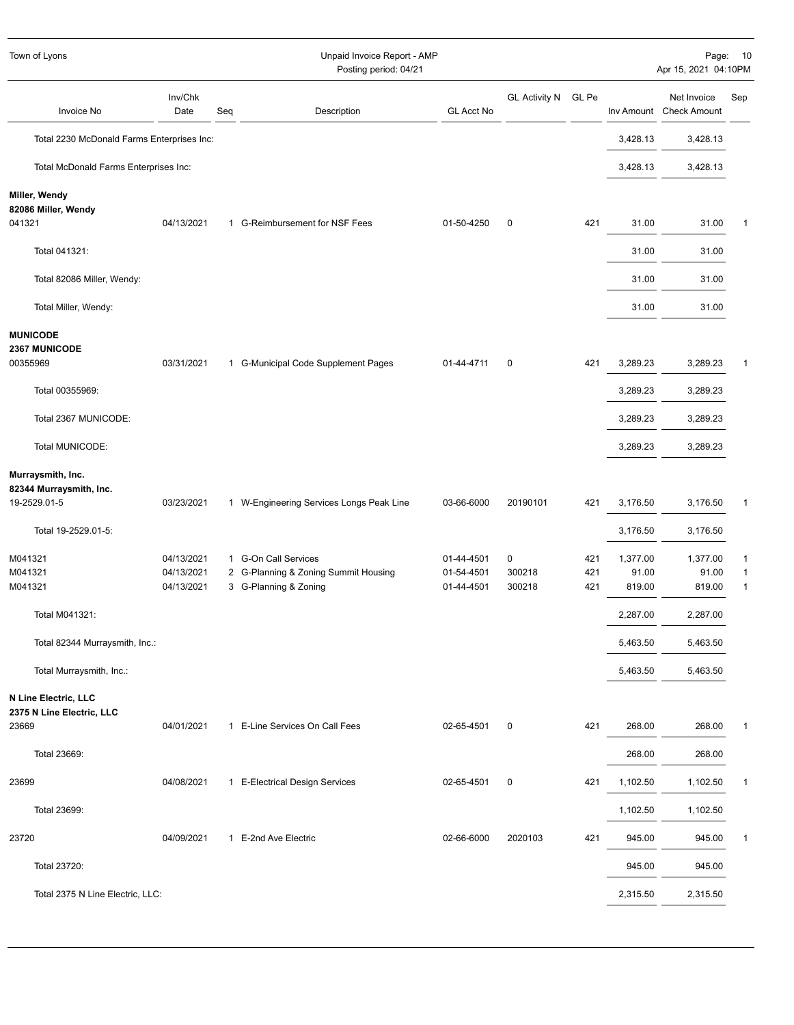| Town of Lyons                                  |                          |     | Unpaid Invoice Report - AMP<br>Posting period: 04/21          |                          |                     |            |                 | Apr 15, 2021 04:10PM                   | Page: 10          |
|------------------------------------------------|--------------------------|-----|---------------------------------------------------------------|--------------------------|---------------------|------------|-----------------|----------------------------------------|-------------------|
| Invoice No                                     | Inv/Chk<br>Date          | Seq | Description                                                   | GL Acct No               | GL Activity N GL Pe |            |                 | Net Invoice<br>Inv Amount Check Amount | Sep               |
| Total 2230 McDonald Farms Enterprises Inc:     |                          |     |                                                               |                          |                     |            | 3,428.13        | 3,428.13                               |                   |
| Total McDonald Farms Enterprises Inc:          |                          |     |                                                               |                          |                     |            | 3,428.13        | 3,428.13                               |                   |
| Miller, Wendy<br>82086 Miller, Wendy<br>041321 | 04/13/2021               |     | 1 G-Reimbursement for NSF Fees                                | 01-50-4250               | $\mathbf 0$         | 421        | 31.00           | 31.00                                  | 1                 |
| Total 041321:                                  |                          |     |                                                               |                          |                     |            | 31.00           | 31.00                                  |                   |
| Total 82086 Miller, Wendy:                     |                          |     |                                                               |                          |                     |            | 31.00           | 31.00                                  |                   |
| Total Miller, Wendy:                           |                          |     |                                                               |                          |                     |            | 31.00           | 31.00                                  |                   |
| <b>MUNICODE</b><br><b>2367 MUNICODE</b>        |                          |     |                                                               |                          |                     |            |                 |                                        |                   |
| 00355969                                       | 03/31/2021               |     | 1 G-Municipal Code Supplement Pages                           | 01-44-4711               | $\mathbf 0$         | 421        | 3,289.23        | 3,289.23                               | 1                 |
| Total 00355969:                                |                          |     |                                                               |                          |                     |            | 3,289.23        | 3,289.23                               |                   |
| Total 2367 MUNICODE:                           |                          |     |                                                               |                          |                     |            | 3,289.23        | 3,289.23                               |                   |
| Total MUNICODE:                                |                          |     |                                                               |                          |                     |            | 3,289.23        | 3,289.23                               |                   |
| Murraysmith, Inc.<br>82344 Murraysmith, Inc.   |                          |     |                                                               |                          |                     |            |                 |                                        |                   |
| 19-2529.01-5                                   | 03/23/2021               |     | 1 W-Engineering Services Longs Peak Line                      | 03-66-6000               | 20190101            | 421        | 3,176.50        | 3,176.50                               | 1                 |
| Total 19-2529.01-5:                            |                          |     |                                                               |                          |                     |            | 3,176.50        | 3,176.50                               |                   |
| M041321                                        | 04/13/2021               |     | 1 G-On Call Services                                          | 01-44-4501               | $\mathbf 0$         | 421        | 1,377.00        | 1,377.00                               | 1                 |
| M041321<br>M041321                             | 04/13/2021<br>04/13/2021 |     | 2 G-Planning & Zoning Summit Housing<br>3 G-Planning & Zoning | 01-54-4501<br>01-44-4501 | 300218<br>300218    | 421<br>421 | 91.00<br>819.00 | 91.00<br>819.00                        | 1<br>$\mathbf{1}$ |
| Total M041321:                                 |                          |     |                                                               |                          |                     |            | 2,287.00        | 2,287.00                               |                   |
| Total 82344 Murraysmith, Inc.:                 |                          |     |                                                               |                          |                     |            | 5,463.50        | 5,463.50                               |                   |
| Total Murraysmith, Inc.:                       |                          |     |                                                               |                          |                     |            | 5,463.50        | 5,463.50                               |                   |
| N Line Electric, LLC                           |                          |     |                                                               |                          |                     |            |                 |                                        |                   |
| 2375 N Line Electric, LLC<br>23669             | 04/01/2021               |     | 1 E-Line Services On Call Fees                                | 02-65-4501               | $\mathbf 0$         | 421        | 268.00          | 268.00                                 | 1                 |
| Total 23669:                                   |                          |     |                                                               |                          |                     |            | 268.00          | 268.00                                 |                   |
| 23699                                          | 04/08/2021               |     | 1 E-Electrical Design Services                                | 02-65-4501               | $\pmb{0}$           | 421        | 1,102.50        | 1,102.50                               | 1                 |
| Total 23699:                                   |                          |     |                                                               |                          |                     |            | 1,102.50        | 1,102.50                               |                   |
| 23720                                          | 04/09/2021               |     | 1 E-2nd Ave Electric                                          | 02-66-6000               | 2020103             | 421        | 945.00          | 945.00                                 | 1                 |
| Total 23720:                                   |                          |     |                                                               |                          |                     |            | 945.00          | 945.00                                 |                   |
| Total 2375 N Line Electric, LLC:               |                          |     |                                                               |                          |                     |            | 2,315.50        | 2,315.50                               |                   |
|                                                |                          |     |                                                               |                          |                     |            |                 |                                        |                   |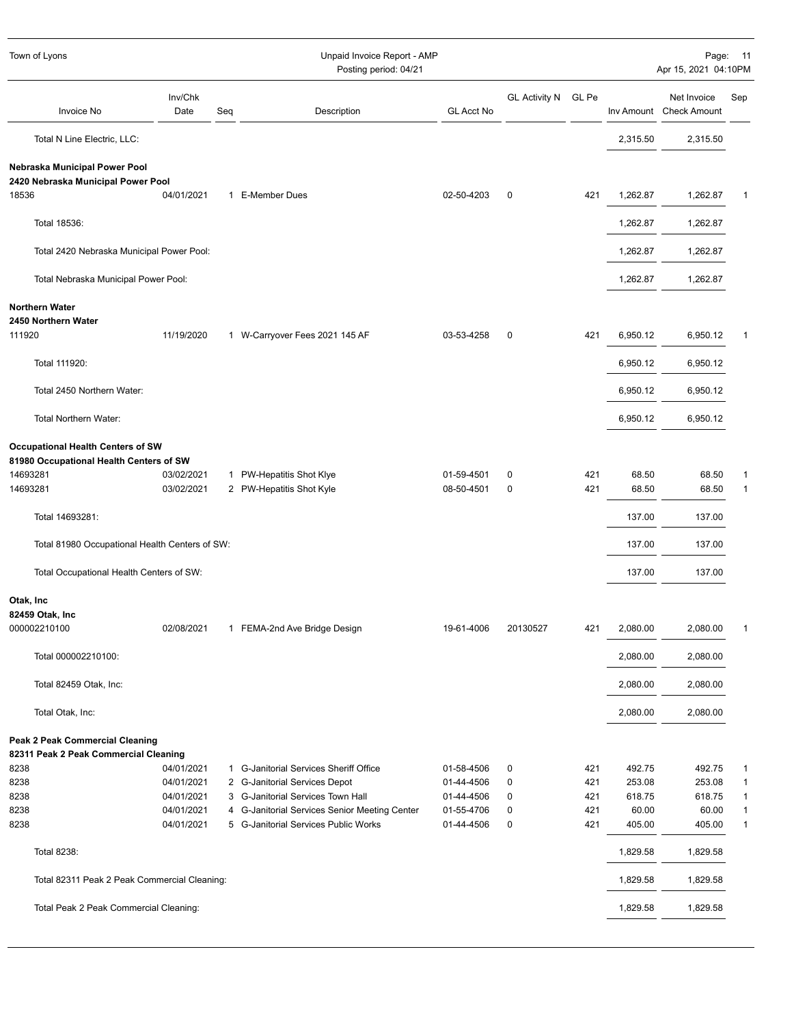| Town of Lyons                                                            |                 | Unpaid Invoice Report - AMP<br>Posting period: 04/21 |                                               |                   |                      |       |          |                                        | Page: 11<br>Apr 15, 2021 04:10PM |
|--------------------------------------------------------------------------|-----------------|------------------------------------------------------|-----------------------------------------------|-------------------|----------------------|-------|----------|----------------------------------------|----------------------------------|
| Invoice No                                                               | Inv/Chk<br>Date | Seq                                                  | Description                                   | <b>GL Acct No</b> | <b>GL Activity N</b> | GL Pe |          | Net Invoice<br>Inv Amount Check Amount | Sep                              |
| Total N Line Electric, LLC:                                              |                 |                                                      |                                               |                   |                      |       | 2,315.50 | 2,315.50                               |                                  |
| Nebraska Municipal Power Pool<br>2420 Nebraska Municipal Power Pool      |                 |                                                      |                                               |                   |                      |       |          |                                        |                                  |
| 18536                                                                    | 04/01/2021      |                                                      | 1 E-Member Dues                               | 02-50-4203        | 0                    | 421   | 1,262.87 | 1,262.87                               |                                  |
| Total 18536:                                                             |                 |                                                      |                                               |                   |                      |       | 1,262.87 | 1,262.87                               |                                  |
| Total 2420 Nebraska Municipal Power Pool:                                |                 |                                                      |                                               |                   |                      |       | 1,262.87 | 1,262.87                               |                                  |
| Total Nebraska Municipal Power Pool:                                     |                 |                                                      |                                               |                   |                      |       | 1,262.87 | 1,262.87                               |                                  |
| <b>Northern Water</b>                                                    |                 |                                                      |                                               |                   |                      |       |          |                                        |                                  |
| 2450 Northern Water<br>111920                                            | 11/19/2020      |                                                      | 1 W-Carryover Fees 2021 145 AF                | 03-53-4258        | 0                    | 421   | 6,950.12 | 6,950.12                               |                                  |
| Total 111920:                                                            |                 |                                                      |                                               |                   |                      |       | 6,950.12 | 6,950.12                               |                                  |
| Total 2450 Northern Water:                                               |                 |                                                      |                                               |                   |                      |       | 6,950.12 | 6,950.12                               |                                  |
| <b>Total Northern Water:</b>                                             |                 |                                                      |                                               |                   |                      |       | 6,950.12 | 6,950.12                               |                                  |
| Occupational Health Centers of SW                                        |                 |                                                      |                                               |                   |                      |       |          |                                        |                                  |
| 81980 Occupational Health Centers of SW<br>14693281                      | 03/02/2021      |                                                      | 1 PW-Hepatitis Shot Klye                      | 01-59-4501        | 0                    | 421   | 68.50    | 68.50                                  |                                  |
| 14693281                                                                 | 03/02/2021      |                                                      | 2 PW-Hepatitis Shot Kyle                      | 08-50-4501        | 0                    | 421   | 68.50    | 68.50                                  | 1                                |
| Total 14693281:                                                          |                 |                                                      |                                               |                   |                      |       | 137.00   | 137.00                                 |                                  |
| Total 81980 Occupational Health Centers of SW:                           |                 |                                                      |                                               |                   |                      |       | 137.00   | 137.00                                 |                                  |
| Total Occupational Health Centers of SW:                                 |                 |                                                      |                                               |                   |                      |       | 137.00   | 137.00                                 |                                  |
| Otak, Inc                                                                |                 |                                                      |                                               |                   |                      |       |          |                                        |                                  |
| 82459 Otak, Inc<br>000002210100                                          | 02/08/2021      |                                                      | 1 FEMA-2nd Ave Bridge Design                  | 19-61-4006        | 20130527             | 421   | 2,080.00 | 2,080.00                               |                                  |
| Total 000002210100:                                                      |                 |                                                      |                                               |                   |                      |       | 2,080.00 | 2,080.00                               |                                  |
|                                                                          |                 |                                                      |                                               |                   |                      |       |          |                                        |                                  |
| Total 82459 Otak, Inc:                                                   |                 |                                                      |                                               |                   |                      |       | 2,080.00 | 2,080.00                               |                                  |
| Total Otak, Inc:                                                         |                 |                                                      |                                               |                   |                      |       | 2,080.00 | 2,080.00                               |                                  |
| Peak 2 Peak Commercial Cleaning<br>82311 Peak 2 Peak Commercial Cleaning |                 |                                                      |                                               |                   |                      |       |          |                                        |                                  |
| 8238                                                                     | 04/01/2021      |                                                      | 1 G-Janitorial Services Sheriff Office        | 01-58-4506        | 0                    | 421   | 492.75   | 492.75                                 | 1                                |
| 8238                                                                     | 04/01/2021      |                                                      | 2 G-Janitorial Services Depot                 | 01-44-4506        | 0                    | 421   | 253.08   | 253.08                                 | 1                                |
| 8238                                                                     | 04/01/2021      |                                                      | 3 G-Janitorial Services Town Hall             | 01-44-4506        | 0                    | 421   | 618.75   | 618.75                                 | $\mathbf{1}$                     |
| 8238                                                                     | 04/01/2021      |                                                      | 4 G-Janitorial Services Senior Meeting Center | 01-55-4706        | 0                    | 421   | 60.00    | 60.00                                  | 1                                |
| 8238                                                                     | 04/01/2021      |                                                      | 5 G-Janitorial Services Public Works          | 01-44-4506        | 0                    | 421   | 405.00   | 405.00                                 | $\mathbf{1}$                     |
| Total 8238:                                                              |                 |                                                      |                                               |                   |                      |       | 1,829.58 | 1,829.58                               |                                  |
| Total 82311 Peak 2 Peak Commercial Cleaning:                             |                 |                                                      |                                               |                   |                      |       | 1,829.58 | 1,829.58                               |                                  |
| Total Peak 2 Peak Commercial Cleaning:                                   |                 |                                                      |                                               |                   |                      |       | 1,829.58 | 1,829.58                               |                                  |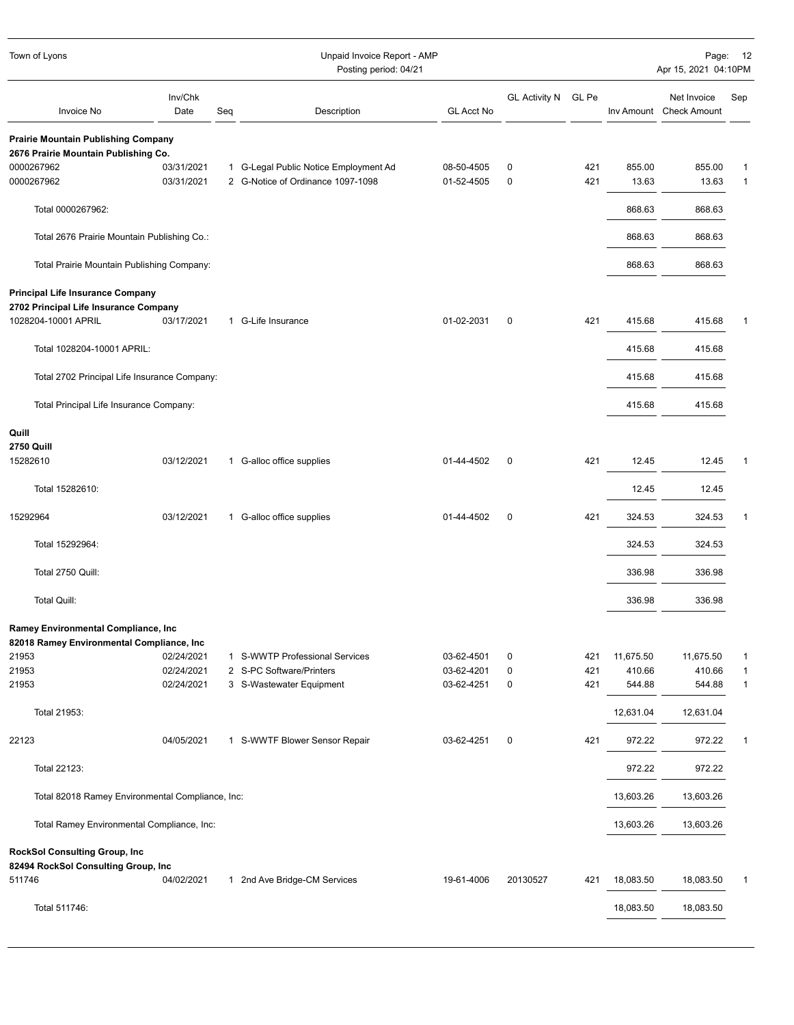| Town of Lyons                                    |                 |     | Unpaid Invoice Report - AMP<br>Posting period: 04/21                       |                          |                     |            |           | Page:<br>12<br>Apr 15, 2021 04:10PM    |              |  |
|--------------------------------------------------|-----------------|-----|----------------------------------------------------------------------------|--------------------------|---------------------|------------|-----------|----------------------------------------|--------------|--|
| Invoice No                                       | Inv/Chk<br>Date | Seq | Description                                                                | <b>GL Acct No</b>        | GL Activity N GL Pe |            |           | Net Invoice<br>Inv Amount Check Amount | Sep          |  |
| <b>Prairie Mountain Publishing Company</b>       |                 |     |                                                                            |                          |                     |            |           |                                        |              |  |
| 2676 Prairie Mountain Publishing Co.             |                 |     |                                                                            |                          |                     |            |           |                                        |              |  |
| 0000267962                                       | 03/31/2021      |     | 1 G-Legal Public Notice Employment Ad<br>2 G-Notice of Ordinance 1097-1098 | 08-50-4505<br>01-52-4505 | 0                   | 421<br>421 | 855.00    | 855.00                                 | 1            |  |
| 0000267962                                       | 03/31/2021      |     |                                                                            |                          | 0                   |            | 13.63     | 13.63                                  | 1            |  |
| Total 0000267962:                                |                 |     |                                                                            |                          |                     |            | 868.63    | 868.63                                 |              |  |
| Total 2676 Prairie Mountain Publishing Co.:      |                 |     |                                                                            |                          |                     |            | 868.63    | 868.63                                 |              |  |
| Total Prairie Mountain Publishing Company:       |                 |     |                                                                            |                          |                     |            | 868.63    | 868.63                                 |              |  |
| <b>Principal Life Insurance Company</b>          |                 |     |                                                                            |                          |                     |            |           |                                        |              |  |
| 2702 Principal Life Insurance Company            |                 |     |                                                                            |                          |                     |            |           |                                        |              |  |
| 1028204-10001 APRIL                              | 03/17/2021      |     | 1 G-Life Insurance                                                         | 01-02-2031               | 0                   | 421        | 415.68    | 415.68                                 | 1            |  |
| Total 1028204-10001 APRIL:                       |                 |     |                                                                            |                          |                     |            | 415.68    | 415.68                                 |              |  |
|                                                  |                 |     |                                                                            |                          |                     |            |           |                                        |              |  |
| Total 2702 Principal Life Insurance Company:     |                 |     |                                                                            |                          |                     |            | 415.68    | 415.68                                 |              |  |
| Total Principal Life Insurance Company:          |                 |     |                                                                            |                          |                     |            | 415.68    | 415.68                                 |              |  |
| Quill                                            |                 |     |                                                                            |                          |                     |            |           |                                        |              |  |
| <b>2750 Quill</b>                                |                 |     |                                                                            |                          |                     |            |           |                                        |              |  |
| 15282610                                         | 03/12/2021      |     | 1 G-alloc office supplies                                                  | 01-44-4502               | 0                   | 421        | 12.45     | 12.45                                  | 1            |  |
| Total 15282610:                                  |                 |     |                                                                            |                          |                     |            | 12.45     | 12.45                                  |              |  |
| 15292964                                         | 03/12/2021      |     | 1 G-alloc office supplies                                                  | 01-44-4502               | $\mathbf 0$         | 421        | 324.53    | 324.53                                 | 1            |  |
| Total 15292964:                                  |                 |     |                                                                            |                          |                     |            | 324.53    | 324.53                                 |              |  |
| Total 2750 Quill:                                |                 |     |                                                                            |                          |                     |            | 336.98    | 336.98                                 |              |  |
| <b>Total Quill:</b>                              |                 |     |                                                                            |                          |                     |            | 336.98    | 336.98                                 |              |  |
| Ramey Environmental Compliance, Inc              |                 |     |                                                                            |                          |                     |            |           |                                        |              |  |
| 82018 Ramey Environmental Compliance, Inc        |                 |     |                                                                            |                          |                     |            |           |                                        |              |  |
| 21953                                            | 02/24/2021      |     | 1 S-WWTP Professional Services                                             | 03-62-4501               | 0                   | 421        | 11,675.50 | 11,675.50                              | 1            |  |
| 21953                                            | 02/24/2021      |     | 2 S-PC Software/Printers                                                   | 03-62-4201               | 0                   | 421        | 410.66    | 410.66                                 | $\mathbf{1}$ |  |
| 21953                                            | 02/24/2021      |     | 3 S-Wastewater Equipment                                                   | 03-62-4251               | 0                   | 421        | 544.88    | 544.88                                 | $\mathbf{1}$ |  |
| Total 21953:                                     |                 |     |                                                                            |                          |                     |            | 12,631.04 | 12,631.04                              |              |  |
| 22123                                            | 04/05/2021      |     | 1 S-WWTF Blower Sensor Repair                                              | 03-62-4251               | 0                   | 421        | 972.22    | 972.22                                 | 1            |  |
| Total 22123:                                     |                 |     |                                                                            |                          |                     |            | 972.22    | 972.22                                 |              |  |
| Total 82018 Ramey Environmental Compliance, Inc: |                 |     |                                                                            |                          |                     |            | 13,603.26 | 13,603.26                              |              |  |
| Total Ramey Environmental Compliance, Inc:       |                 |     |                                                                            |                          |                     |            | 13,603.26 | 13,603.26                              |              |  |
| <b>RockSol Consulting Group, Inc.</b>            |                 |     |                                                                            |                          |                     |            |           |                                        |              |  |
| 82494 RockSol Consulting Group, Inc              |                 |     |                                                                            |                          |                     |            |           |                                        |              |  |
| 511746                                           | 04/02/2021      |     | 1 2nd Ave Bridge-CM Services                                               | 19-61-4006               | 20130527            | 421        | 18,083.50 | 18,083.50                              | $\mathbf{1}$ |  |
| Total 511746:                                    |                 |     |                                                                            |                          |                     |            | 18,083.50 | 18,083.50                              |              |  |
|                                                  |                 |     |                                                                            |                          |                     |            |           |                                        |              |  |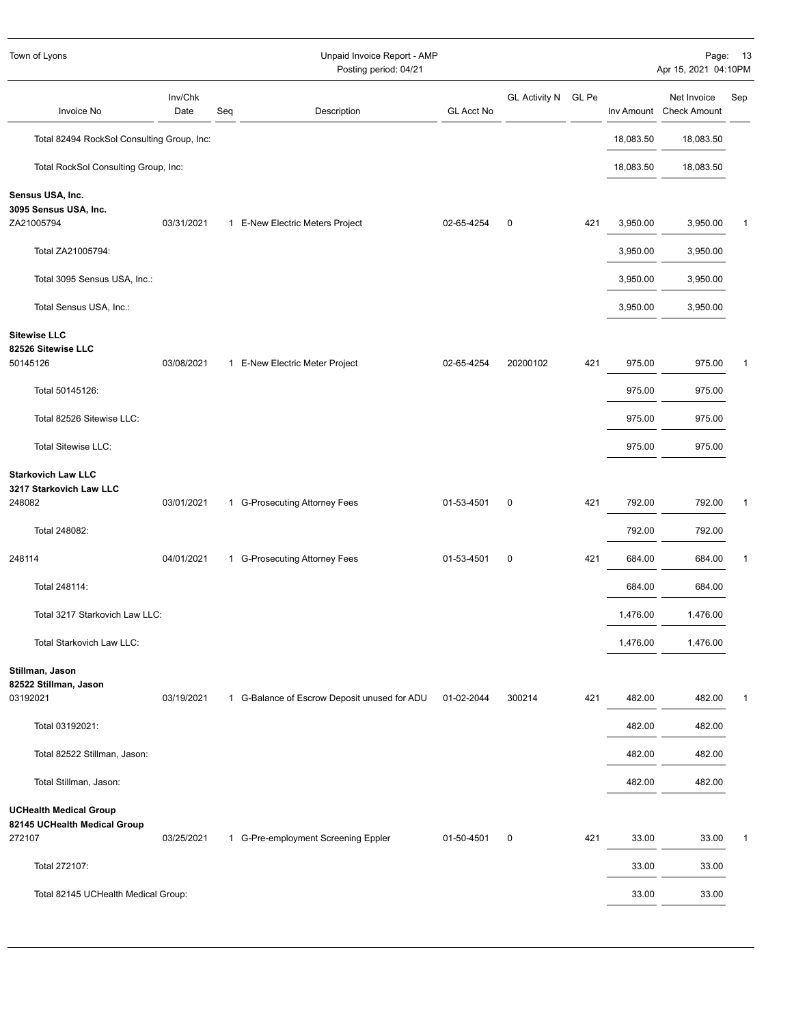| Unpaid Invoice Report - AMP<br>Town of Lyons<br>Posting period: 04/21   |                 |     |                                              |                   | Page: 13<br>Apr 15, 2021 04:10PM |     |           |                                        |     |
|-------------------------------------------------------------------------|-----------------|-----|----------------------------------------------|-------------------|----------------------------------|-----|-----------|----------------------------------------|-----|
| Invoice No                                                              | Inv/Chk<br>Date | Seq | Description                                  | <b>GL Acct No</b> | GL Activity N GL Pe              |     |           | Net Invoice<br>Inv Amount Check Amount | Sep |
| Total 82494 RockSol Consulting Group, Inc:                              |                 |     |                                              |                   |                                  |     | 18,083.50 | 18,083.50                              |     |
| Total RockSol Consulting Group, Inc:                                    |                 |     |                                              |                   |                                  |     | 18,083.50 | 18,083.50                              |     |
| Sensus USA, Inc.<br>3095 Sensus USA, Inc.<br>ZA21005794                 | 03/31/2021      |     | 1 E-New Electric Meters Project              | 02-65-4254        | $\mathbf 0$                      | 421 | 3,950.00  | 3,950.00                               | 1   |
| Total ZA21005794:                                                       |                 |     |                                              |                   |                                  |     | 3,950.00  | 3,950.00                               |     |
| Total 3095 Sensus USA, Inc.:                                            |                 |     |                                              |                   |                                  |     | 3,950.00  | 3,950.00                               |     |
| Total Sensus USA, Inc.:                                                 |                 |     |                                              |                   |                                  |     | 3,950.00  | 3,950.00                               |     |
| <b>Sitewise LLC</b><br>82526 Sitewise LLC<br>50145126                   | 03/08/2021      |     | 1 E-New Electric Meter Project               | 02-65-4254        | 20200102                         | 421 | 975.00    | 975.00                                 | 1   |
| Total 50145126:                                                         |                 |     |                                              |                   |                                  |     | 975.00    | 975.00                                 |     |
| Total 82526 Sitewise LLC:                                               |                 |     |                                              |                   |                                  |     | 975.00    | 975.00                                 |     |
| <b>Total Sitewise LLC:</b>                                              |                 |     |                                              |                   |                                  |     | 975.00    | 975.00                                 |     |
| <b>Starkovich Law LLC</b><br>3217 Starkovich Law LLC<br>248082          | 03/01/2021      |     | 1 G-Prosecuting Attorney Fees                | 01-53-4501        | $\mathbf 0$                      | 421 | 792.00    | 792.00                                 | 1   |
| Total 248082:                                                           |                 |     |                                              |                   |                                  |     | 792.00    | 792.00                                 |     |
| 248114                                                                  | 04/01/2021      |     | 1 G-Prosecuting Attorney Fees                | 01-53-4501        | $\pmb{0}$                        | 421 | 684.00    | 684.00                                 | 1   |
| Total 248114:                                                           |                 |     |                                              |                   |                                  |     | 684.00    | 684.00                                 |     |
| Total 3217 Starkovich Law LLC:                                          |                 |     |                                              |                   |                                  |     | 1,476.00  | 1,476.00                               |     |
| Total Starkovich Law LLC:                                               |                 |     |                                              |                   |                                  |     | 1,476.00  | 1,476.00                               |     |
| Stillman, Jason<br>82522 Stillman, Jason                                |                 |     |                                              |                   |                                  |     |           |                                        |     |
| 03192021                                                                | 03/19/2021      |     | 1 G-Balance of Escrow Deposit unused for ADU | 01-02-2044        | 300214                           | 421 | 482.00    | 482.00                                 | 1   |
| Total 03192021:                                                         |                 |     |                                              |                   |                                  |     | 482.00    | 482.00                                 |     |
| Total 82522 Stillman, Jason:                                            |                 |     |                                              |                   |                                  |     | 482.00    | 482.00                                 |     |
| Total Stillman, Jason:                                                  |                 |     |                                              |                   |                                  |     | 482.00    | 482.00                                 |     |
| <b>UCHealth Medical Group</b><br>82145 UCHealth Medical Group<br>272107 | 03/25/2021      |     | 1 G-Pre-employment Screening Eppler          | 01-50-4501        | 0                                | 421 | 33.00     | 33.00                                  | 1   |
| Total 272107:                                                           |                 |     |                                              |                   |                                  |     | 33.00     | 33.00                                  |     |
| Total 82145 UCHealth Medical Group:                                     |                 |     |                                              |                   |                                  |     | 33.00     | 33.00                                  |     |
|                                                                         |                 |     |                                              |                   |                                  |     |           |                                        |     |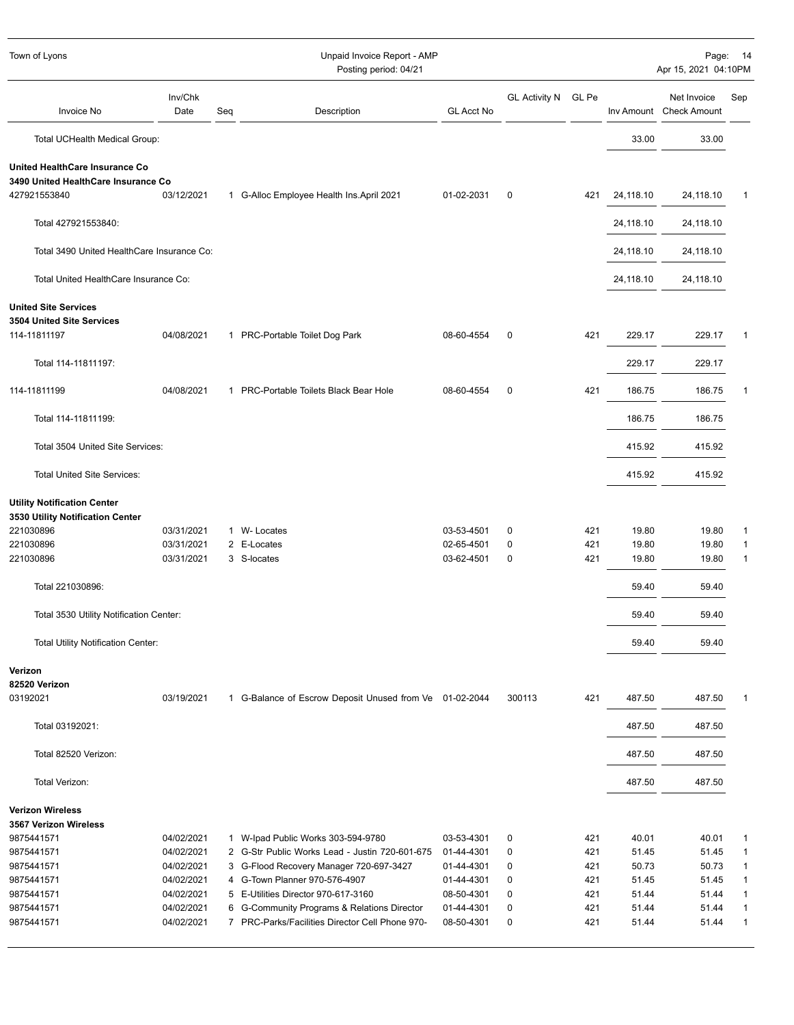| Town of Lyons<br>Unpaid Invoice Report - AMP<br>Posting period: 04/21 |                 |     |                                                         |                   |                      | Page: 14<br>Apr 15, 2021 04:10PM |           |                                        |              |
|-----------------------------------------------------------------------|-----------------|-----|---------------------------------------------------------|-------------------|----------------------|----------------------------------|-----------|----------------------------------------|--------------|
| Invoice No                                                            | Inv/Chk<br>Date | Seq | Description                                             | <b>GL Acct No</b> | <b>GL Activity N</b> | GL Pe                            |           | Net Invoice<br>Inv Amount Check Amount | Sep          |
| Total UCHealth Medical Group:                                         |                 |     |                                                         |                   |                      |                                  | 33.00     | 33.00                                  |              |
| United HealthCare Insurance Co                                        |                 |     |                                                         |                   |                      |                                  |           |                                        |              |
| 3490 United HealthCare Insurance Co<br>427921553840                   | 03/12/2021      |     | 1 G-Alloc Employee Health Ins. April 2021               | 01-02-2031        | 0                    | 421                              | 24,118.10 | 24,118.10                              | 1            |
| Total 427921553840:                                                   |                 |     |                                                         |                   |                      |                                  | 24,118.10 | 24,118.10                              |              |
| Total 3490 United HealthCare Insurance Co:                            |                 |     |                                                         |                   |                      |                                  | 24,118.10 | 24,118.10                              |              |
| Total United HealthCare Insurance Co:                                 |                 |     |                                                         |                   |                      |                                  | 24,118.10 | 24,118.10                              |              |
| <b>United Site Services</b><br>3504 United Site Services              |                 |     |                                                         |                   |                      |                                  |           |                                        |              |
| 114-11811197                                                          | 04/08/2021      |     | 1 PRC-Portable Toilet Dog Park                          | 08-60-4554        | 0                    | 421                              | 229.17    | 229.17                                 | 1            |
| Total 114-11811197:                                                   |                 |     |                                                         |                   |                      |                                  | 229.17    | 229.17                                 |              |
| 114-11811199                                                          | 04/08/2021      |     | 1 PRC-Portable Toilets Black Bear Hole                  | 08-60-4554        | $\mathbf 0$          | 421                              | 186.75    | 186.75                                 | 1            |
| Total 114-11811199:                                                   |                 |     |                                                         |                   |                      |                                  | 186.75    | 186.75                                 |              |
| Total 3504 United Site Services:                                      |                 |     |                                                         |                   |                      |                                  | 415.92    | 415.92                                 |              |
| <b>Total United Site Services:</b>                                    |                 |     |                                                         |                   |                      |                                  | 415.92    | 415.92                                 |              |
| <b>Utility Notification Center</b>                                    |                 |     |                                                         |                   |                      |                                  |           |                                        |              |
| 3530 Utility Notification Center                                      |                 |     |                                                         |                   |                      |                                  |           |                                        |              |
| 221030896                                                             | 03/31/2021      |     | 1 W- Locates                                            | 03-53-4501        | 0                    | 421                              | 19.80     | 19.80                                  | 1            |
| 221030896                                                             | 03/31/2021      |     | 2 E-Locates<br>3 S-locates                              | 02-65-4501        | $\mathbf 0$          | 421                              | 19.80     | 19.80                                  | $\mathbf{1}$ |
| 221030896                                                             | 03/31/2021      |     |                                                         | 03-62-4501        | 0                    | 421                              | 19.80     | 19.80                                  | 1            |
| Total 221030896:                                                      |                 |     |                                                         |                   |                      |                                  | 59.40     | 59.40                                  |              |
| Total 3530 Utility Notification Center:                               |                 |     |                                                         |                   |                      |                                  | 59.40     | 59.40                                  |              |
| Total Utility Notification Center:                                    |                 |     |                                                         |                   |                      |                                  | 59.40     | 59.40                                  |              |
| Verizon<br>82520 Verizon                                              |                 |     |                                                         |                   |                      |                                  |           |                                        |              |
| 03192021                                                              | 03/19/2021      |     | 1 G-Balance of Escrow Deposit Unused from Ve 01-02-2044 |                   | 300113               | 421                              | 487.50    | 487.50                                 | 1            |
| Total 03192021:                                                       |                 |     |                                                         |                   |                      |                                  | 487.50    | 487.50                                 |              |
| Total 82520 Verizon:                                                  |                 |     |                                                         |                   |                      |                                  | 487.50    | 487.50                                 |              |
| Total Verizon:                                                        |                 |     |                                                         |                   |                      |                                  | 487.50    | 487.50                                 |              |
| <b>Verizon Wireless</b>                                               |                 |     |                                                         |                   |                      |                                  |           |                                        |              |
| 3567 Verizon Wireless                                                 |                 |     |                                                         |                   |                      |                                  |           |                                        |              |
| 9875441571                                                            | 04/02/2021      |     | 1 W-Ipad Public Works 303-594-9780                      | 03-53-4301        | 0                    | 421                              | 40.01     | 40.01                                  | 1            |
| 9875441571                                                            | 04/02/2021      |     | 2 G-Str Public Works Lead - Justin 720-601-675          | 01-44-4301        | 0                    | 421                              | 51.45     | 51.45                                  | $\mathbf{1}$ |
| 9875441571                                                            | 04/02/2021      |     | 3 G-Flood Recovery Manager 720-697-3427                 | 01-44-4301        | 0                    | 421                              | 50.73     | 50.73                                  | 1            |
| 9875441571                                                            | 04/02/2021      |     | 4 G-Town Planner 970-576-4907                           | 01-44-4301        | 0                    | 421                              | 51.45     | 51.45                                  | $\mathbf{1}$ |
| 9875441571                                                            | 04/02/2021      |     | 5 E-Utilities Director 970-617-3160                     | 08-50-4301        | 0                    | 421                              | 51.44     | 51.44                                  | $\mathbf{1}$ |
| 9875441571                                                            | 04/02/2021      |     | 6 G-Community Programs & Relations Director             | 01-44-4301        | 0                    | 421                              | 51.44     | 51.44                                  | 1            |
| 9875441571                                                            | 04/02/2021      |     | 7 PRC-Parks/Facilities Director Cell Phone 970-         | 08-50-4301        | 0                    | 421                              | 51.44     | 51.44                                  | 1            |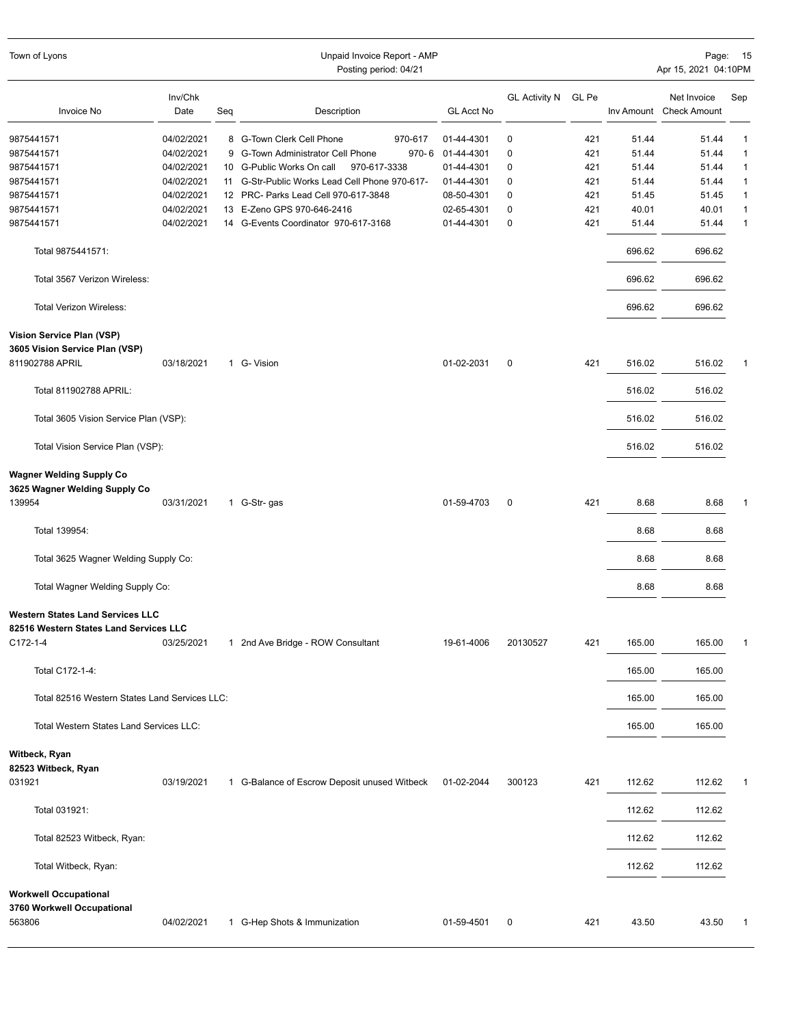| Town of Lyons                                                                     |                 |     | Unpaid Invoice Report - AMP<br>Posting period: 04/21 |                   |                      |       |        | Page:<br>Apr 15, 2021 04:10PM          | 15           |
|-----------------------------------------------------------------------------------|-----------------|-----|------------------------------------------------------|-------------------|----------------------|-------|--------|----------------------------------------|--------------|
| <b>Invoice No</b>                                                                 | Inv/Chk<br>Date | Seq | Description                                          | <b>GL Acct No</b> | <b>GL Activity N</b> | GL Pe |        | Net Invoice<br>Inv Amount Check Amount | Sep          |
| 9875441571                                                                        | 04/02/2021      |     | 8 G-Town Clerk Cell Phone<br>970-617                 | 01-44-4301        | 0                    | 421   | 51.44  | 51.44                                  | $\mathbf{1}$ |
| 9875441571                                                                        | 04/02/2021      |     | 970-6<br>9 G-Town Administrator Cell Phone           | 01-44-4301        | 0                    | 421   | 51.44  | 51.44                                  | $\mathbf{1}$ |
| 9875441571                                                                        | 04/02/2021      |     | 10 G-Public Works On call<br>970-617-3338            | 01-44-4301        | 0                    | 421   | 51.44  | 51.44                                  | $\mathbf{1}$ |
| 9875441571                                                                        | 04/02/2021      |     | 11 G-Str-Public Works Lead Cell Phone 970-617-       | 01-44-4301        | 0                    | 421   | 51.44  | 51.44                                  | $\mathbf{1}$ |
| 9875441571                                                                        | 04/02/2021      |     | 12 PRC- Parks Lead Cell 970-617-3848                 | 08-50-4301        | 0                    | 421   | 51.45  | 51.45                                  | $\mathbf{1}$ |
| 9875441571                                                                        | 04/02/2021      |     | 13 E-Zeno GPS 970-646-2416                           | 02-65-4301        | 0                    | 421   | 40.01  | 40.01                                  | $\mathbf{1}$ |
| 9875441571                                                                        | 04/02/2021      |     | 14 G-Events Coordinator 970-617-3168                 | 01-44-4301        | $\mathbf 0$          | 421   | 51.44  | 51.44                                  | $\mathbf{1}$ |
| Total 9875441571:                                                                 |                 |     |                                                      |                   |                      |       | 696.62 | 696.62                                 |              |
| Total 3567 Verizon Wireless:                                                      |                 |     |                                                      |                   |                      |       | 696.62 | 696.62                                 |              |
| Total Verizon Wireless:                                                           |                 |     |                                                      |                   |                      |       | 696.62 | 696.62                                 |              |
| Vision Service Plan (VSP)<br>3605 Vision Service Plan (VSP)                       |                 |     |                                                      |                   |                      |       |        |                                        |              |
| 811902788 APRIL                                                                   | 03/18/2021      |     | 1 G- Vision                                          | 01-02-2031        | $\mathbf 0$          | 421   | 516.02 | 516.02                                 |              |
| Total 811902788 APRIL:                                                            |                 |     |                                                      |                   |                      |       | 516.02 | 516.02                                 |              |
| Total 3605 Vision Service Plan (VSP):                                             |                 |     |                                                      |                   |                      |       | 516.02 | 516.02                                 |              |
| Total Vision Service Plan (VSP):                                                  |                 |     |                                                      |                   |                      |       | 516.02 | 516.02                                 |              |
| <b>Wagner Welding Supply Co</b><br>3625 Wagner Welding Supply Co                  |                 |     |                                                      |                   |                      |       |        |                                        |              |
| 139954                                                                            | 03/31/2021      |     | 1 G-Str-gas                                          | 01-59-4703        | $\mathbf 0$          | 421   | 8.68   | 8.68                                   |              |
| Total 139954:                                                                     |                 |     |                                                      |                   |                      |       | 8.68   | 8.68                                   |              |
| Total 3625 Wagner Welding Supply Co:                                              |                 |     |                                                      |                   |                      |       | 8.68   | 8.68                                   |              |
| Total Wagner Welding Supply Co:                                                   |                 |     |                                                      |                   |                      |       | 8.68   | 8.68                                   |              |
| <b>Western States Land Services LLC</b><br>82516 Western States Land Services LLC |                 |     |                                                      |                   |                      |       |        |                                        |              |
| C172-1-4                                                                          | 03/25/2021      |     | 1 2nd Ave Bridge - ROW Consultant                    | 19-61-4006        | 20130527             | 421   | 165.00 | 165.00                                 | 1            |
| Total C172-1-4:                                                                   |                 |     |                                                      |                   |                      |       | 165.00 | 165.00                                 |              |
| Total 82516 Western States Land Services LLC:                                     |                 |     |                                                      |                   |                      |       | 165.00 | 165.00                                 |              |
| Total Western States Land Services LLC:                                           |                 |     |                                                      |                   |                      |       | 165.00 | 165.00                                 |              |
| Witbeck, Ryan<br>82523 Witbeck, Ryan                                              |                 |     |                                                      |                   |                      |       |        |                                        |              |
| 031921                                                                            | 03/19/2021      |     | 1 G-Balance of Escrow Deposit unused Witbeck         | 01-02-2044        | 300123               | 421   | 112.62 | 112.62                                 | 1            |
| Total 031921:                                                                     |                 |     |                                                      |                   |                      |       | 112.62 | 112.62                                 |              |
| Total 82523 Witbeck, Ryan:                                                        |                 |     |                                                      |                   |                      |       | 112.62 | 112.62                                 |              |
| Total Witbeck, Ryan:                                                              |                 |     |                                                      |                   |                      |       | 112.62 | 112.62                                 |              |
| <b>Workwell Occupational</b><br>3760 Workwell Occupational                        |                 |     |                                                      |                   |                      |       |        |                                        |              |
| 563806                                                                            | 04/02/2021      |     | 1 G-Hep Shots & Immunization                         | 01-59-4501        | 0                    | 421   | 43.50  | 43.50                                  | 1            |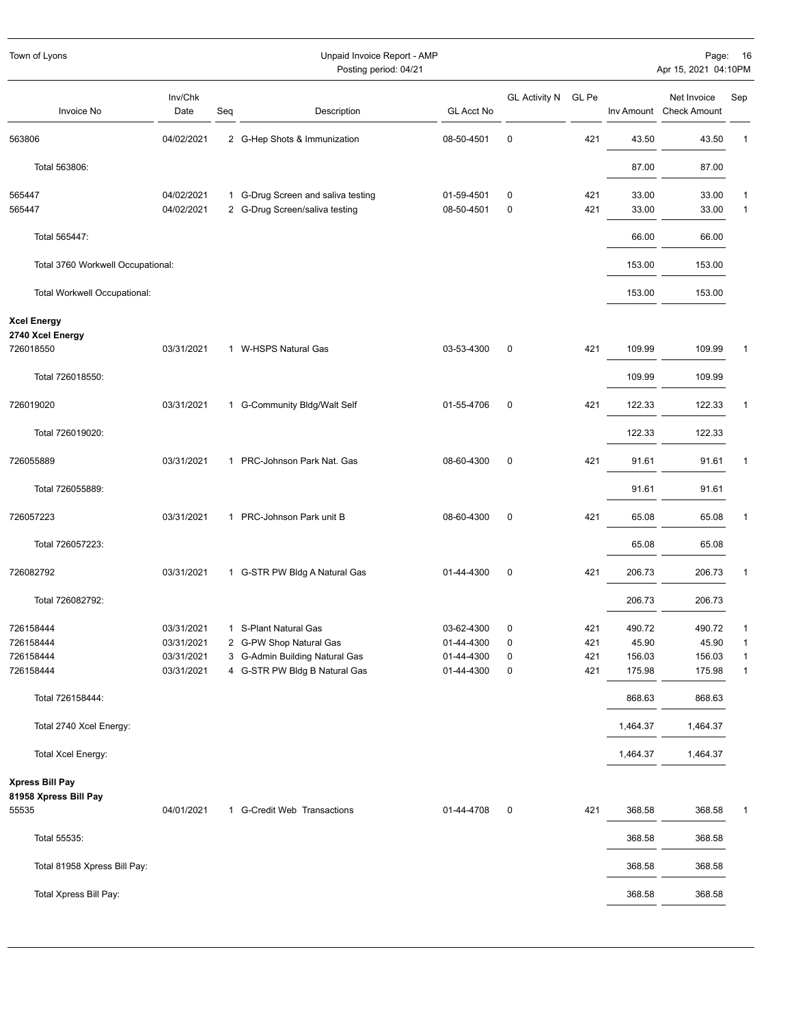| Town of Lyons                            | Unpaid Invoice Report - AMP<br>Posting period: 04/21 |     |                                    |                   |                      |       | Page:<br>Apr 15, 2021 04:10PM | 16                                     |              |
|------------------------------------------|------------------------------------------------------|-----|------------------------------------|-------------------|----------------------|-------|-------------------------------|----------------------------------------|--------------|
| Invoice No                               | Inv/Chk<br>Date                                      | Seq | Description                        | <b>GL Acct No</b> | <b>GL Activity N</b> | GL Pe |                               | Net Invoice<br>Inv Amount Check Amount | Sep          |
| 563806                                   | 04/02/2021                                           |     | 2 G-Hep Shots & Immunization       | 08-50-4501        | $\mathbf 0$          | 421   | 43.50                         | 43.50                                  | 1            |
| Total 563806:                            |                                                      |     |                                    |                   |                      |       | 87.00                         | 87.00                                  |              |
| 565447                                   | 04/02/2021                                           |     | 1 G-Drug Screen and saliva testing | 01-59-4501        | $\pmb{0}$            | 421   | 33.00                         | 33.00                                  | $\mathbf{1}$ |
| 565447                                   | 04/02/2021                                           |     | 2 G-Drug Screen/saliva testing     | 08-50-4501        | $\mathbf 0$          | 421   | 33.00                         | 33.00                                  | $\mathbf{1}$ |
| Total 565447:                            |                                                      |     |                                    |                   |                      |       | 66.00                         | 66.00                                  |              |
| Total 3760 Workwell Occupational:        |                                                      |     |                                    |                   |                      |       | 153.00                        | 153.00                                 |              |
| Total Workwell Occupational:             |                                                      |     |                                    |                   |                      |       | 153.00                        | 153.00                                 |              |
| <b>Xcel Energy</b>                       |                                                      |     |                                    |                   |                      |       |                               |                                        |              |
| 2740 Xcel Energy<br>726018550            | 03/31/2021                                           |     | 1 W-HSPS Natural Gas               | 03-53-4300        | $\mathbf 0$          | 421   | 109.99                        | 109.99                                 | 1            |
| Total 726018550:                         |                                                      |     |                                    |                   |                      |       | 109.99                        | 109.99                                 |              |
|                                          |                                                      |     |                                    |                   |                      |       |                               |                                        |              |
| 726019020                                | 03/31/2021                                           |     | 1 G-Community Bldg/Walt Self       | 01-55-4706        | $\mathbf 0$          | 421   | 122.33                        | 122.33                                 | 1            |
| Total 726019020:                         |                                                      |     |                                    |                   |                      |       | 122.33                        | 122.33                                 |              |
| 726055889                                | 03/31/2021                                           |     | 1 PRC-Johnson Park Nat. Gas        | 08-60-4300        | $\mathbf 0$          | 421   | 91.61                         | 91.61                                  | 1            |
| Total 726055889:                         |                                                      |     |                                    |                   |                      |       | 91.61                         | 91.61                                  |              |
| 726057223                                | 03/31/2021                                           |     | 1 PRC-Johnson Park unit B          | 08-60-4300        | $\mathbf 0$          | 421   | 65.08                         | 65.08                                  | 1            |
| Total 726057223:                         |                                                      |     |                                    |                   |                      |       | 65.08                         | 65.08                                  |              |
| 726082792                                | 03/31/2021                                           |     | 1 G-STR PW Bldg A Natural Gas      | 01-44-4300        | $\mathbf 0$          | 421   | 206.73                        | 206.73                                 | 1            |
| Total 726082792:                         |                                                      |     |                                    |                   |                      |       | 206.73                        | 206.73                                 |              |
| 726158444                                | 03/31/2021                                           |     | 1 S-Plant Natural Gas              | 03-62-4300        | 0                    | 421   | 490.72                        | 490.72                                 |              |
| 726158444                                | 03/31/2021                                           |     | 2 G-PW Shop Natural Gas            | 01-44-4300        | 0                    | 421   | 45.90                         | 45.90                                  | $\mathbf{1}$ |
| 726158444                                | 03/31/2021                                           |     | 3 G-Admin Building Natural Gas     | 01-44-4300        | 0                    | 421   | 156.03                        | 156.03                                 | 1            |
| 726158444                                | 03/31/2021                                           |     | 4 G-STR PW Bldg B Natural Gas      | 01-44-4300        | $\pmb{0}$            | 421   | 175.98                        | 175.98                                 | $\mathbf{1}$ |
| Total 726158444:                         |                                                      |     |                                    |                   |                      |       | 868.63                        | 868.63                                 |              |
| Total 2740 Xcel Energy:                  |                                                      |     |                                    |                   |                      |       | 1,464.37                      | 1,464.37                               |              |
| Total Xcel Energy:                       |                                                      |     |                                    |                   |                      |       | 1,464.37                      | 1,464.37                               |              |
| Xpress Bill Pay<br>81958 Xpress Bill Pay |                                                      |     |                                    |                   |                      |       |                               |                                        |              |
| 55535                                    | 04/01/2021                                           |     | 1 G-Credit Web Transactions        | 01-44-4708        | 0                    | 421   | 368.58                        | 368.58                                 |              |
| Total 55535:                             |                                                      |     |                                    |                   |                      |       | 368.58                        | 368.58                                 |              |
| Total 81958 Xpress Bill Pay:             |                                                      |     |                                    |                   |                      |       | 368.58                        | 368.58                                 |              |
| Total Xpress Bill Pay:                   |                                                      |     |                                    |                   |                      |       | 368.58                        | 368.58                                 |              |
|                                          |                                                      |     |                                    |                   |                      |       |                               |                                        |              |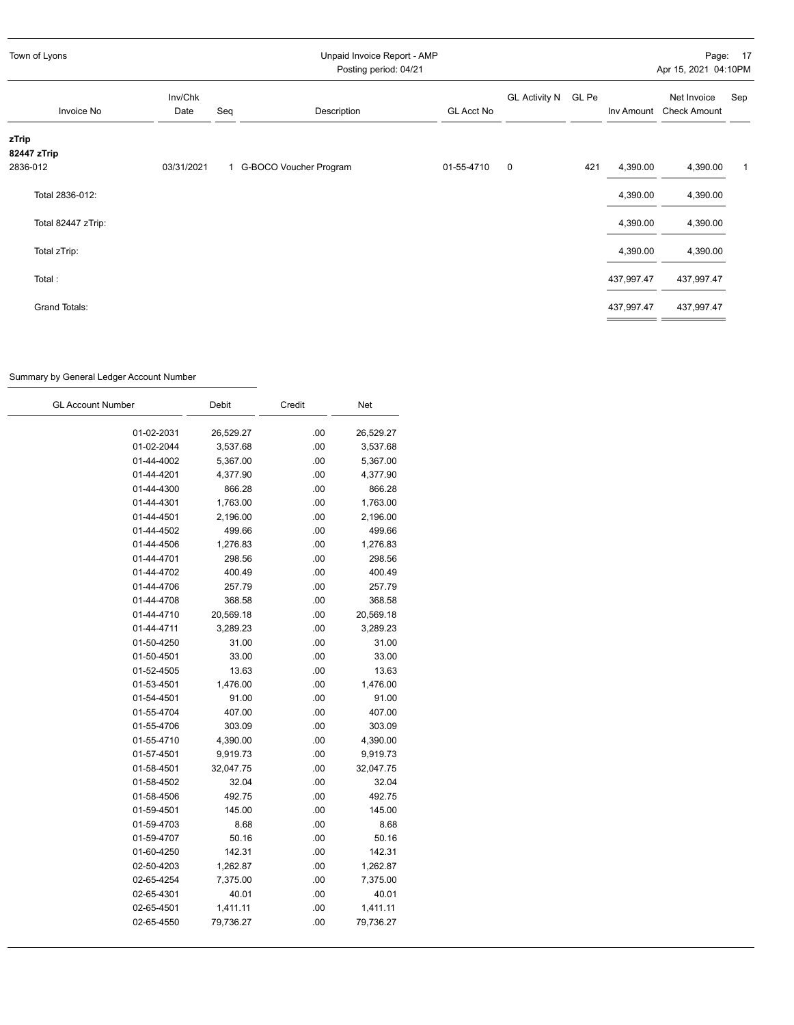| Town of Lyons                    |                 | Unpaid Invoice Report - AMP<br>Posting period: 04/21 |                          |                   |                     |     |            | Page: 17<br>Apr 15, 2021 04:10PM   |     |
|----------------------------------|-----------------|------------------------------------------------------|--------------------------|-------------------|---------------------|-----|------------|------------------------------------|-----|
| Invoice No                       | Inv/Chk<br>Date | Seq                                                  | Description              | <b>GL Acct No</b> | GL Activity N GL Pe |     | Inv Amount | Net Invoice<br><b>Check Amount</b> | Sep |
| zTrip<br>82447 zTrip<br>2836-012 | 03/31/2021      |                                                      | 1 G-BOCO Voucher Program | 01-55-4710        | 0                   | 421 | 4,390.00   | 4,390.00                           | 1   |
| Total 2836-012:                  |                 |                                                      |                          |                   |                     |     | 4,390.00   | 4,390.00                           |     |
| Total 82447 zTrip:               |                 |                                                      |                          |                   |                     |     | 4,390.00   | 4,390.00                           |     |
| Total zTrip:                     |                 |                                                      |                          |                   |                     |     | 4,390.00   | 4,390.00                           |     |
| Total:                           |                 |                                                      |                          |                   |                     |     | 437,997.47 | 437,997.47                         |     |
| Grand Totals:                    |                 |                                                      |                          |                   |                     |     | 437,997.47 | 437,997.47                         |     |

## Summary by General Ledger Account Number

| <b>GL Account Number</b> | Debit     | Credit | Net       |
|--------------------------|-----------|--------|-----------|
| 01-02-2031               | 26,529.27 | .00    | 26,529.27 |
| 01-02-2044               | 3,537.68  | .00    | 3,537.68  |
| 01-44-4002               | 5,367.00  | .00    | 5,367.00  |
| 01-44-4201               | 4,377.90  | .00    | 4,377.90  |
| 01-44-4300               | 866.28    | .00    | 866.28    |
| 01-44-4301               | 1,763.00  | .00    | 1,763.00  |
| 01-44-4501               | 2,196.00  | .00    | 2,196.00  |
| 01-44-4502               | 499.66    | .00    | 499.66    |
| 01-44-4506               | 1,276.83  | .00    | 1,276.83  |
| 01-44-4701               | 298.56    | .00    | 298.56    |
| 01-44-4702               | 400.49    | .00    | 400.49    |
| 01-44-4706               | 257.79    | .00    | 257.79    |
| 01-44-4708               | 368.58    | .00    | 368.58    |
| 01-44-4710               | 20,569.18 | .00    | 20,569.18 |
| 01-44-4711               | 3,289.23  | .00    | 3,289.23  |
| 01-50-4250               | 31.00     | .00    | 31.00     |
| 01-50-4501               | 33.00     | .00    | 33.00     |
| 01-52-4505               | 13.63     | .00    | 13.63     |
| 01-53-4501               | 1,476.00  | .00    | 1,476.00  |
| 01-54-4501               | 91.00     | .00    | 91.00     |
| 01-55-4704               | 407.00    | .00    | 407.00    |
| 01-55-4706               | 303.09    | .00    | 303.09    |
| 01-55-4710               | 4,390.00  | .00    | 4,390.00  |
| 01-57-4501               | 9,919.73  | .00    | 9,919.73  |
| 01-58-4501               | 32,047.75 | .00    | 32,047.75 |
| 01-58-4502               | 32.04     | .00    | 32.04     |
| 01-58-4506               | 492.75    | .00    | 492.75    |
| 01-59-4501               | 145.00    | .00    | 145.00    |
| 01-59-4703               | 8.68      | .00    | 8.68      |
| 01-59-4707               | 50.16     | .00    | 50.16     |
| 01-60-4250               | 142.31    | .00    | 142.31    |
| 02-50-4203               | 1,262.87  | .00    | 1,262.87  |
| 02-65-4254               | 7,375.00  | .00    | 7,375.00  |
| 02-65-4301               | 40.01     | .00    | 40.01     |
| 02-65-4501               | 1,411.11  | .00    | 1,411.11  |
| 02-65-4550               | 79,736.27 | .00    | 79,736.27 |